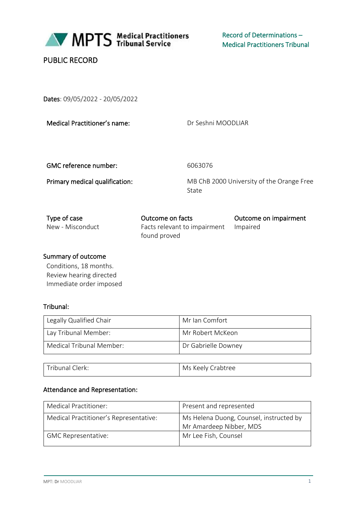

# PUBLIC RECORD

Dates: 09/05/2022 - 20/05/2022

Medical Practitioner's name:

Dr Seshni MOODLIAR

GMC reference number: 6063076

Primary medical qualification: MB ChB 2000 University of the Orange Free State

| Type of case     | Outcome on facts                      | Outcome on impairment |
|------------------|---------------------------------------|-----------------------|
| New - Misconduct | Facts relevant to impairment Impaired |                       |
|                  | found proved                          |                       |

### Summary of outcome

Conditions, 18 months. Review hearing directed Immediate order imposed

## Tribunal:

| Legally Qualified Chair  | Mr Ian Comfort      |
|--------------------------|---------------------|
| Lay Tribunal Member:     | Mr Robert McKeon    |
| Medical Tribunal Member: | Dr Gabrielle Downey |

| Tribunal Clerk: | Ms Keely Crabtree |
|-----------------|-------------------|
|-----------------|-------------------|

### Attendance and Representation:

| Medical Practitioner:                  | Present and represented                                            |
|----------------------------------------|--------------------------------------------------------------------|
| Medical Practitioner's Representative: | Ms Helena Duong, Counsel, instructed by<br>Mr Amardeep Nibber, MDS |
| <b>GMC Representative:</b>             | Mr Lee Fish, Counsel                                               |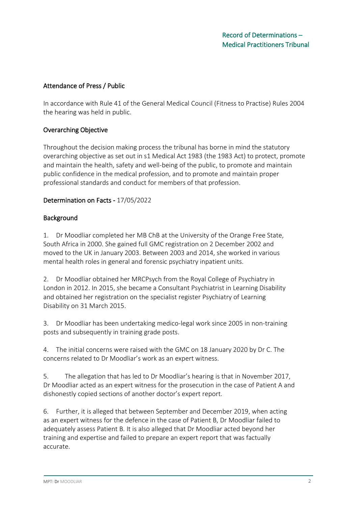### Attendance of Press / Public

In accordance with Rule 41 of the General Medical Council (Fitness to Practise) Rules 2004 the hearing was held in public.

### Overarching Objective

Throughout the decision making process the tribunal has borne in mind the statutory overarching objective as set out in s1 Medical Act 1983 (the 1983 Act) to protect, promote and maintain the health, safety and well-being of the public, to promote and maintain public confidence in the medical profession, and to promote and maintain proper professional standards and conduct for members of that profession.

### Determination on Facts - 17/05/2022

#### Background

1. Dr Moodliar completed her MB ChB at the University of the Orange Free State, South Africa in 2000. She gained full GMC registration on 2 December 2002 and moved to the UK in January 2003. Between 2003 and 2014, she worked in various mental health roles in general and forensic psychiatry inpatient units.

2. Dr Moodliar obtained her MRCPsych from the Royal College of Psychiatry in London in 2012. In 2015, she became a Consultant Psychiatrist in Learning Disability and obtained her registration on the specialist register Psychiatry of Learning Disability on 31 March 2015.

3. Dr Moodliar has been undertaking medico-legal work since 2005 in non-training posts and subsequently in training grade posts.

4. The initial concerns were raised with the GMC on 18 January 2020 by Dr C. The concerns related to Dr Moodliar's work as an expert witness.

5. The allegation that has led to Dr Moodliar's hearing is that in November 2017, Dr Moodliar acted as an expert witness for the prosecution in the case of Patient A and dishonestly copied sections of another doctor's expert report.

6. Further, it is alleged that between September and December 2019, when acting as an expert witness for the defence in the case of Patient B, Dr Moodliar failed to adequately assess Patient B. It is also alleged that Dr Moodliar acted beyond her training and expertise and failed to prepare an expert report that was factually accurate.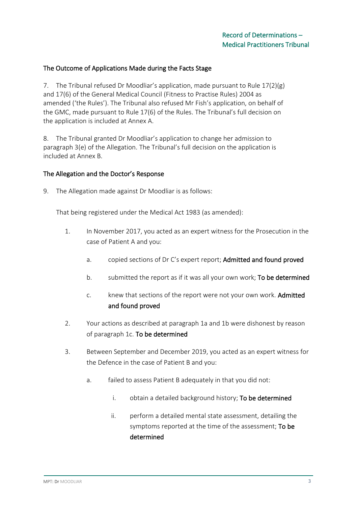### The Outcome of Applications Made during the Facts Stage

7. The Tribunal refused Dr Moodliar's application, made pursuant to Rule 17(2)(g) and 17(6) of the General Medical Council (Fitness to Practise Rules) 2004 as amended ('the Rules'). The Tribunal also refused Mr Fish's application, on behalf of the GMC, made pursuant to Rule 17(6) of the Rules. The Tribunal's full decision on the application is included at Annex A.

8. The Tribunal granted Dr Moodliar's application to change her admission to paragraph 3(e) of the Allegation. The Tribunal's full decision on the application is included at Annex B.

#### The Allegation and the Doctor's Response

9. The Allegation made against Dr Moodliar is as follows:

That being registered under the Medical Act 1983 (as amended):

- 1. In November 2017, you acted as an expert witness for the Prosecution in the case of Patient A and you:
	- a. copied sections of Dr C's expert report; Admitted and found proved
	- b. submitted the report as if it was all your own work; To be determined
	- c. knew that sections of the report were not your own work. Admitted and found proved
- 2. Your actions as described at paragraph 1a and 1b were dishonest by reason of paragraph 1c. To be determined
- 3. Between September and December 2019, you acted as an expert witness for the Defence in the case of Patient B and you:
	- a. failed to assess Patient B adequately in that you did not:
		- i. obtain a detailed background history; To be determined
		- ii. perform a detailed mental state assessment, detailing the symptoms reported at the time of the assessment; To be determined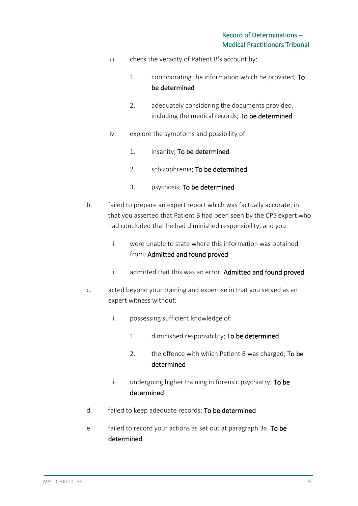- iii. check the veracity of Patient B's account by:
	- 1. corroborating the information which he provided; To be determined
	- 2. adequately considering the documents provided, including the medical records; To be determined
- iv. explore the symptoms and possibility of:
	- 1. insanity; To be determined
	- 2. schizophrenia; To be determined
	- 3. psychosis; To be determined
- b. failed to prepare an expert report which was factually accurate, in that you asserted that Patient B had been seen by the CPS expert who had concluded that he had diminished responsibility, and you:
	- i. were unable to state where this information was obtained from; Admitted and found proved
	- ii. admitted that this was an error; Admitted and found proved
- c. acted beyond your training and expertise in that you served as an expert witness without:
	- i. possessing sufficient knowledge of:
		- 1. diminished responsibility; To be determined
		- 2. the offence with which Patient B was charged; To be determined
	- ii. undergoing higher training in forensic psychiatry; To be determined
- d. failed to keep adequate records; To be determined
- e. failed to record your actions as set out at paragraph 3a. To be determined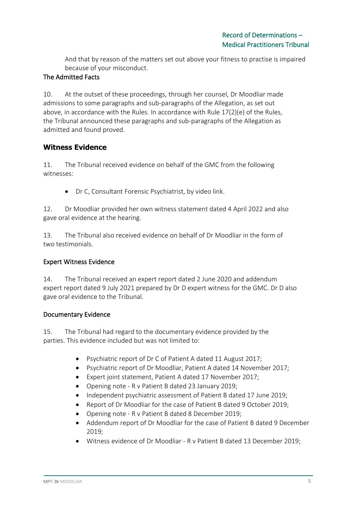And that by reason of the matters set out above your fitness to practise is impaired because of your misconduct.

## The Admitted Facts

10. At the outset of these proceedings, through her counsel, Dr Moodliar made admissions to some paragraphs and sub-paragraphs of the Allegation, as set out above, in accordance with the Rules. In accordance with Rule 17(2)(e) of the Rules, the Tribunal announced these paragraphs and sub-paragraphs of the Allegation as admitted and found proved.

## **Witness Evidence**

11. The Tribunal received evidence on behalf of the GMC from the following witnesses:

• Dr C, Consultant Forensic Psychiatrist, by video link.

12. Dr Moodliar provided her own witness statement dated 4 April 2022 and also gave oral evidence at the hearing.

13. The Tribunal also received evidence on behalf of Dr Moodliar in the form of two testimonials.

### Expert Witness Evidence

14. The Tribunal received an expert report dated 2 June 2020 and addendum expert report dated 9 July 2021 prepared by Dr D expert witness for the GMC. Dr D also gave oral evidence to the Tribunal.

### Documentary Evidence

15. The Tribunal had regard to the documentary evidence provided by the parties. This evidence included but was not limited to:

- Psychiatric report of Dr C of Patient A dated 11 August 2017;
- Psychiatric report of Dr Moodliar, Patient A dated 14 November 2017;
- Expert joint statement, Patient A dated 17 November 2017;
- Opening note R v Patient B dated 23 January 2019;
- Independent psychiatric assessment of Patient B dated 17 June 2019;
- Report of Dr Moodliar for the case of Patient B dated 9 October 2019;
- Opening note R v Patient B dated 8 December 2019;
- Addendum report of Dr Moodliar for the case of Patient B dated 9 December 2019;
- Witness evidence of Dr Moodliar R v Patient B dated 13 December 2019;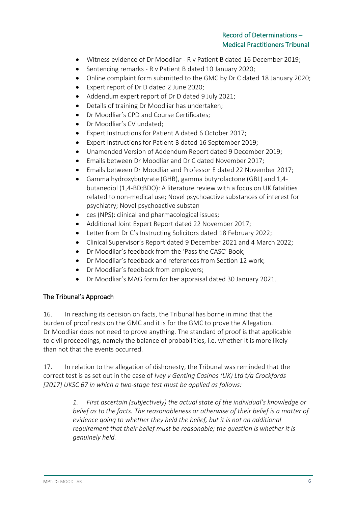- Witness evidence of Dr Moodliar R v Patient B dated 16 December 2019;
- Sentencing remarks R v Patient B dated 10 January 2020;
- Online complaint form submitted to the GMC by Dr C dated 18 January 2020;
- Expert report of Dr D dated 2 June 2020;
- Addendum expert report of Dr D dated 9 July 2021;
- Details of training Dr Moodliar has undertaken;
- Dr Moodliar's CPD and Course Certificates;
- Dr Moodliar's CV undated;
- Expert Instructions for Patient A dated 6 October 2017;
- Expert Instructions for Patient B dated 16 September 2019;
- Unamended Version of Addendum Report dated 9 December 2019;
- Emails between Dr Moodliar and Dr C dated November 2017;
- Emails between Dr Moodliar and Professor E dated 22 November 2017;
- Gamma hydroxybutyrate (GHB), gamma butyrolactone (GBL) and 1,4 butanediol (1,4-BD;BDO): A literature review with a focus on UK fatalities related to non-medical use; Novel psychoactive substances of interest for psychiatry; Novel psychoactive substan
- ces (NPS): clinical and pharmacological issues;
- Additional Joint Expert Report dated 22 November 2017;
- Letter from Dr C's Instructing Solicitors dated 18 February 2022;
- Clinical Supervisor's Report dated 9 December 2021 and 4 March 2022;
- Dr Moodliar's feedback from the 'Pass the CASC' Book;
- Dr Moodliar's feedback and references from Section 12 work;
- Dr Moodliar's feedback from employers;
- Dr Moodliar's MAG form for her appraisal dated 30 January 2021.

### The Tribunal's Approach

16. In reaching its decision on facts, the Tribunal has borne in mind that the burden of proof rests on the GMC and it is for the GMC to prove the Allegation. Dr Moodliar does not need to prove anything. The standard of proof is that applicable to civil proceedings, namely the balance of probabilities, i.e. whether it is more likely than not that the events occurred.

17. In relation to the allegation of dishonesty, the Tribunal was reminded that the correct test is as set out in the case of *Ivey v Genting Casinos (UK) Ltd t/a Crockfords [2017] UKSC 67 in which a two-stage test must be applied as follows:*

> *1. First ascertain (subjectively) the actual state of the individual's knowledge or belief as to the facts. The reasonableness or otherwise of their belief is a matter of evidence going to whether they held the belief, but it is not an additional requirement that their belief must be reasonable; the question is whether it is genuinely held.*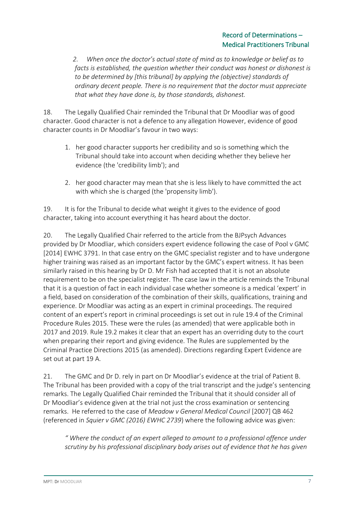*2. When once the doctor's actual state of mind as to knowledge or belief as to facts is established, the question whether their conduct was honest or dishonest is to be determined by [this tribunal] by applying the (objective) standards of ordinary decent people. There is no requirement that the doctor must appreciate that what they have done is, by those standards, dishonest.*

18. The Legally Qualified Chair reminded the Tribunal that Dr Moodliar was of good character. Good character is not a defence to any allegation However, evidence of good character counts in Dr Moodliar's favour in two ways:

- 1. her good character supports her credibility and so is something which the Tribunal should take into account when deciding whether they believe her evidence (the 'credibility limb'); and
- 2. her good character may mean that she is less likely to have committed the act with which she is charged (the 'propensity limb').

19. It is for the Tribunal to decide what weight it gives to the evidence of good character, taking into account everything it has heard about the doctor.

20. The Legally Qualified Chair referred to the article from the BJPsych Advances provided by Dr Moodliar, which considers expert evidence following the case of Pool v GMC [2014] EWHC 3791. In that case entry on the GMC specialist register and to have undergone higher training was raised as an important factor by the GMC's expert witness. It has been similarly raised in this hearing by Dr D. Mr Fish had accepted that it is not an absolute requirement to be on the specialist register. The case law in the article reminds the Tribunal that it is a question of fact in each individual case whether someone is a medical 'expert' in a field, based on consideration of the combination of their skills, qualifications, training and experience. Dr Moodliar was acting as an expert in criminal proceedings. The required content of an expert's report in criminal proceedings is set out in rule 19.4 of the Criminal Procedure Rules 2015. These were the rules (as amended) that were applicable both in 2017 and 2019. Rule 19.2 makes it clear that an expert has an overriding duty to the court when preparing their report and giving evidence. The Rules are supplemented by the Criminal Practice Directions 2015 (as amended). Directions regarding Expert Evidence are set out at part 19 A.

21. The GMC and Dr D. rely in part on Dr Moodliar's evidence at the trial of Patient B. The Tribunal has been provided with a copy of the trial transcript and the judge's sentencing remarks. The Legally Qualified Chair reminded the Tribunal that it should consider all of Dr Moodliar's evidence given at the trial not just the cross examination or sentencing remarks. He referred to the case of *Meadow v General Medical Council* [2007] QB 462 (referenced in *Squier v GMC (2016) EWHC 2739*) where the following advice was given:

*" Where the conduct of an expert alleged to amount to a professional offence under scrutiny by his professional disciplinary body arises out of evidence that he has given*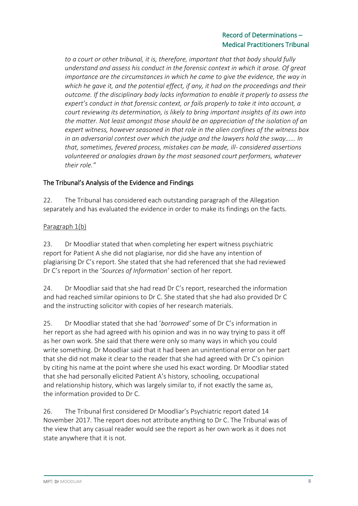*to a court or other tribunal, it is, therefore, important that that body should fully understand and assess his conduct in the forensic context in which it arose. Of great importance are the circumstances in which he came to give the evidence, the way in which he gave it, and the potential effect, if any, it had on the proceedings and their outcome. If the disciplinary body lacks information to enable it properly to assess the expert's conduct in that forensic context, or fails properly to take it into account, a court reviewing its determination, is likely to bring important insights of its own into the matter. Not least amongst those should be an appreciation of the isolation of an expert witness, however seasoned in that role in the alien confines of the witness box in an adversarial contest over which the judge and the lawyers hold the sway…… In that, sometimes, fevered process, mistakes can be made, ill- considered assertions volunteered or analogies drawn by the most seasoned court performers, whatever their role."*

## The Tribunal's Analysis of the Evidence and Findings

22. The Tribunal has considered each outstanding paragraph of the Allegation separately and has evaluated the evidence in order to make its findings on the facts.

## Paragraph 1(b)

23. Dr Moodliar stated that when completing her expert witness psychiatric report for Patient A she did not plagiarise, nor did she have any intention of plagiarising Dr C's report. She stated that she had referenced that she had reviewed Dr C's report in the '*Sources of Information'* section of her report.

24. Dr Moodliar said that she had read Dr C's report, researched the information and had reached similar opinions to Dr C. She stated that she had also provided Dr C and the instructing solicitor with copies of her research materials.

25. Dr Moodliar stated that she had '*borrowed'* some of Dr C's information in her report as she had agreed with his opinion and was in no way trying to pass it off as her own work. She said that there were only so many ways in which you could write something. Dr Moodliar said that it had been an unintentional error on her part that she did not make it clear to the reader that she had agreed with Dr C's opinion by citing his name at the point where she used his exact wording. Dr Moodliar stated that she had personally elicited Patient A's history, schooling, occupational and relationship history, which was largely similar to, if not exactly the same as, the information provided to Dr C.

26. The Tribunal first considered Dr Moodliar's Psychiatric report dated 14 November 2017. The report does not attribute anything to Dr C. The Tribunal was of the view that any casual reader would see the report as her own work as it does not state anywhere that it is not.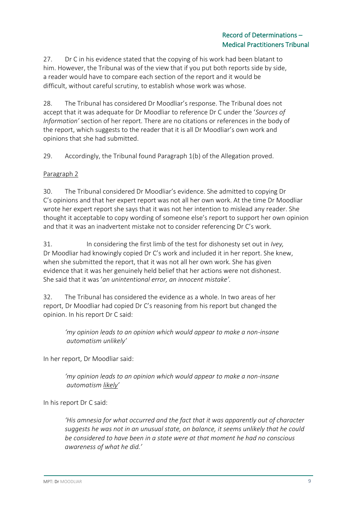27. Dr C in his evidence stated that the copying of his work had been blatant to him. However, the Tribunal was of the view that if you put both reports side by side, a reader would have to compare each section of the report and it would be difficult, without careful scrutiny, to establish whose work was whose.

28. The Tribunal has considered Dr Moodliar's response. The Tribunal does not accept that it was adequate for Dr Moodliar to reference Dr C under the '*Sources of Information'* section of her report. There are no citations or references in the body of the report, which suggests to the reader that it is all Dr Moodliar's own work and opinions that she had submitted.

29. Accordingly, the Tribunal found Paragraph 1(b) of the Allegation proved.

## Paragraph 2

30. The Tribunal considered Dr Moodliar's evidence. She admitted to copying Dr C's opinions and that her expert report was not all her own work. At the time Dr Moodliar wrote her expert report she says that it was not her intention to mislead any reader. She thought it acceptable to copy wording of someone else's report to support her own opinion and that it was an inadvertent mistake not to consider referencing Dr C's work.

31. In considering the first limb of the test for dishonesty set out in *Ivey,* Dr Moodliar had knowingly copied Dr C's work and included it in her report. She knew, when she submitted the report, that it was not all her own work. She has given evidence that it was her genuinely held belief that her actions were not dishonest. She said that it was '*an unintentional error, an innocent mistake'.*

32. The Tribunal has considered the evidence as a whole. In two areas of her report, Dr Moodliar had copied Dr C's reasoning from his report but changed the opinion. In his report Dr C said:

*'my opinion leads to an opinion which would appear to make a non-insane automatism unlikely'*

In her report, Dr Moodliar said:

*'my opinion leads to an opinion which would appear to make a non-insane automatism likely'*

In his report Dr C said:

*'His amnesia for what occurred and the fact that it was apparently out of character suggests he was not in an unusual state, on balance, it seems unlikely that he could be considered to have been in a state were at that moment he had no conscious awareness of what he did.'*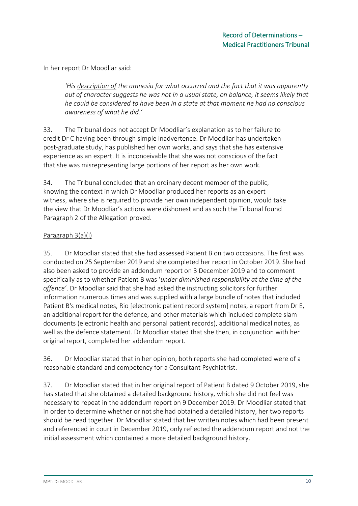In her report Dr Moodliar said:

*'His description of the amnesia for what occurred and the fact that it was apparently out of character suggests he was not in a usual state, on balance, it seems likely that he could be considered to have been in a state at that moment he had no conscious awareness of what he did.'*

33. The Tribunal does not accept Dr Moodliar's explanation as to her failure to credit Dr C having been through simple inadvertence. Dr Moodliar has undertaken post-graduate study, has published her own works, and says that she has extensive experience as an expert. It is inconceivable that she was not conscious of the fact that she was misrepresenting large portions of her report as her own work.

34. The Tribunal concluded that an ordinary decent member of the public, knowing the context in which Dr Moodliar produced her reports as an expert witness, where she is required to provide her own independent opinion, would take the view that Dr Moodliar's actions were dishonest and as such the Tribunal found Paragraph 2 of the Allegation proved.

### Paragraph 3(a)(i)

35. Dr Moodliar stated that she had assessed Patient B on two occasions. The first was conducted on 25 September 2019 and she completed her report in October 2019. She had also been asked to provide an addendum report on 3 December 2019 and to comment specifically as to whether Patient B was '*under diminished responsibility at the time of the offence'*. Dr Moodliar said that she had asked the instructing solicitors for further information numerous times and was supplied with a large bundle of notes that included Patient B's medical notes, Rio [electronic patient record system] notes, a report from Dr E, an additional report for the defence, and other materials which included complete slam documents (electronic health and personal patient records), additional medical notes, as well as the defence statement. Dr Moodliar stated that she then, in conjunction with her original report, completed her addendum report.

36. Dr Moodliar stated that in her opinion, both reports she had completed were of a reasonable standard and competency for a Consultant Psychiatrist.

37. Dr Moodliar stated that in her original report of Patient B dated 9 October 2019, she has stated that she obtained a detailed background history, which she did not feel was necessary to repeat in the addendum report on 9 December 2019. Dr Moodliar stated that in order to determine whether or not she had obtained a detailed history, her two reports should be read together. Dr Moodliar stated that her written notes which had been present and referenced in court in December 2019, only reflected the addendum report and not the initial assessment which contained a more detailed background history.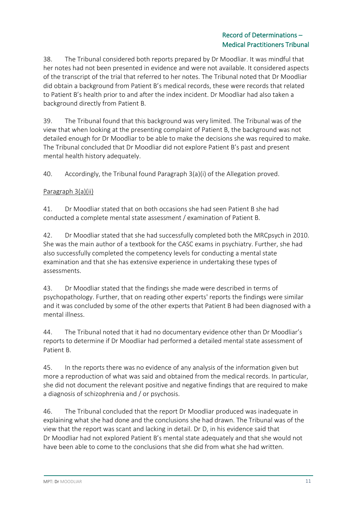38. The Tribunal considered both reports prepared by Dr Moodliar. It was mindful that her notes had not been presented in evidence and were not available. It considered aspects of the transcript of the trial that referred to her notes. The Tribunal noted that Dr Moodliar did obtain a background from Patient B's medical records, these were records that related to Patient B's health prior to and after the index incident. Dr Moodliar had also taken a background directly from Patient B.

39. The Tribunal found that this background was very limited. The Tribunal was of the view that when looking at the presenting complaint of Patient B, the background was not detailed enough for Dr Moodliar to be able to make the decisions she was required to make. The Tribunal concluded that Dr Moodliar did not explore Patient B's past and present mental health history adequately.

40. Accordingly, the Tribunal found Paragraph 3(a)(i) of the Allegation proved.

## Paragraph 3(a)(ii)

41. Dr Moodliar stated that on both occasions she had seen Patient B she had conducted a complete mental state assessment / examination of Patient B.

42. Dr Moodliar stated that she had successfully completed both the MRCpsych in 2010. She was the main author of a textbook for the CASC exams in psychiatry. Further, she had also successfully completed the competency levels for conducting a mental state examination and that she has extensive experience in undertaking these types of assessments.

43. Dr Moodliar stated that the findings she made were described in terms of psychopathology. Further, that on reading other experts' reports the findings were similar and it was concluded by some of the other experts that Patient B had been diagnosed with a mental illness.

44. The Tribunal noted that it had no documentary evidence other than Dr Moodliar's reports to determine if Dr Moodliar had performed a detailed mental state assessment of Patient B.

45. In the reports there was no evidence of any analysis of the information given but more a reproduction of what was said and obtained from the medical records. In particular, she did not document the relevant positive and negative findings that are required to make a diagnosis of schizophrenia and / or psychosis.

46. The Tribunal concluded that the report Dr Moodliar produced was inadequate in explaining what she had done and the conclusions she had drawn. The Tribunal was of the view that the report was scant and lacking in detail. Dr D, in his evidence said that Dr Moodliar had not explored Patient B's mental state adequately and that she would not have been able to come to the conclusions that she did from what she had written.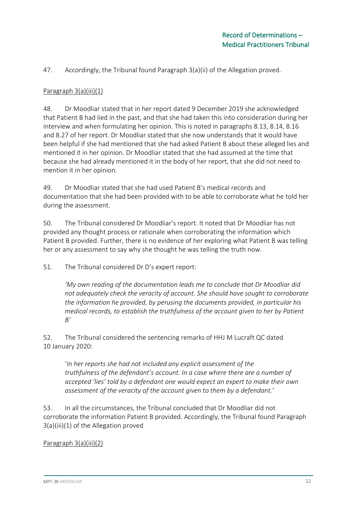47. Accordingly, the Tribunal found Paragraph 3(a)(ii) of the Allegation proved.

### Paragraph 3(a)(iii)(1)

48. Dr Moodliar stated that in her report dated 9 December 2019 she acknowledged that Patient B had lied in the past, and that she had taken this into consideration during her interview and when formulating her opinion. This is noted in paragraphs 8.13, 8.14, 8.16 and 8.27 of her report. Dr Moodliar stated that she now understands that it would have been helpful if she had mentioned that she had asked Patient B about these alleged lies and mentioned it in her opinion. Dr Moodliar stated that she had assumed at the time that because she had already mentioned it in the body of her report, that she did not need to mention it in her opinion.

49. Dr Moodliar stated that she had used Patient B's medical records and documentation that she had been provided with to be able to corroborate what he told her during the assessment.

50. The Tribunal considered Dr Moodliar's report. It noted that Dr Moodliar has not provided any thought process or rationale when corroborating the information which Patient B provided. Further, there is no evidence of her exploring what Patient B was telling her or any assessment to say why she thought he was telling the truth now.

51. The Tribunal considered Dr D's expert report:

*'My own reading of the documentation leads me to conclude that Dr Moodliar did not adequately check the veracity of account. She should have sought to corroborate the information he provided, by perusing the documents provided, in particular his medical records, to establish the truthfulness of the account given to her by Patient B'*

52. The Tribunal considered the sentencing remarks of HHJ M Lucraft QC dated 10 January 2020:

'*In her reports she had not included any explicit assessment of the truthfulness of the defendant's account. In a case where there are a number of accepted 'lies' told by a defendant one would expect an expert to make their own assessment of the veracity of the account given to them by a defendant.'*

53. In all the circumstances, the Tribunal concluded that Dr Moodliar did not corroborate the information Patient B provided. Accordingly, the Tribunal found Paragraph 3(a)(iii)(1) of the Allegation proved

### Paragraph 3(a)(iii)(2)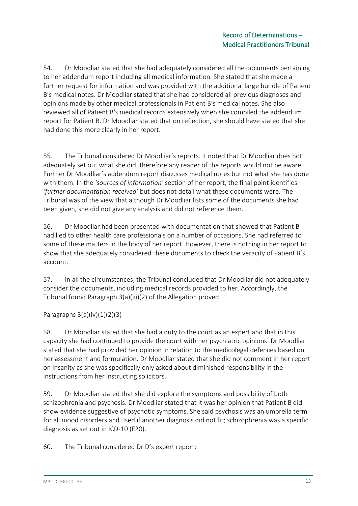54. Dr Moodliar stated that she had adequately considered all the documents pertaining to her addendum report including all medical information. She stated that she made a further request for information and was provided with the additional large bundle of Patient B's medical notes. Dr Moodliar stated that she had considered all previous diagnoses and opinions made by other medical professionals in Patient B's medical notes. She also reviewed all of Patient B's medical records extensively when she compiled the addendum report for Patient B. Dr Moodliar stated that on reflection, she should have stated that she had done this more clearly in her report.

55. The Tribunal considered Dr Moodliar's reports. It noted that Dr Moodliar does not adequately set out what she did, therefore any reader of the reports would not be aware. Further Dr Moodliar's addendum report discusses medical notes but not what she has done with them. In the *'sources of information'* section of her report, the final point identifies *'further documentation received'* but does not detail what these documents were. The Tribunal was of the view that although Dr Moodliar lists some of the documents she had been given, she did not give any analysis and did not reference them.

56. Dr Moodliar had been presented with documentation that showed that Patient B had lied to other health care professionals on a number of occasions. She had referred to some of these matters in the body of her report. However, there is nothing in her report to show that she adequately considered these documents to check the veracity of Patient B's account.

57. In all the circumstances, the Tribunal concluded that Dr Moodliar did not adequately consider the documents, including medical records provided to her. Accordingly, the Tribunal found Paragraph 3(a)(iii)(2) of the Allegation proved.

## Paragraphs  $3(a)(iv)(1)(2)(3)$

58. Dr Moodliar stated that she had a duty to the court as an expert and that in this capacity she had continued to provide the court with her psychiatric opinions. Dr Moodliar stated that she had provided her opinion in relation to the medicolegal defences based on her assessment and formulation. Dr Moodliar stated that she did not comment in her report on insanity as she was specifically only asked about diminished responsibility in the instructions from her instructing solicitors.

59. Dr Moodliar stated that she did explore the symptoms and possibility of both schizophrenia and psychosis. Dr Moodliar stated that it was her opinion that Patient B did show evidence suggestive of psychotic symptoms. She said psychosis was an umbrella term for all mood disorders and used if another diagnosis did not fit; schizophrenia was a specific diagnosis as set out in ICD-10 (F20).

60. The Tribunal considered Dr D's expert report: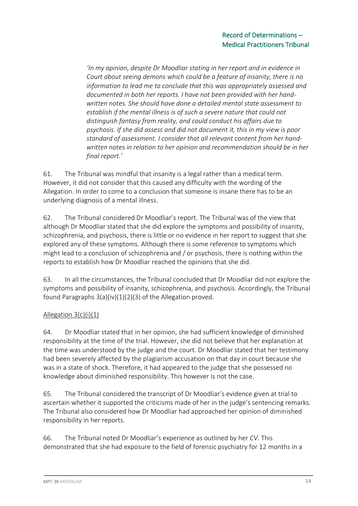*'In my opinion, despite Dr Moodliar stating in her report and in evidence in Court about seeing demons which could be a feature of insanity, there is no information to lead me to conclude that this was appropriately assessed and documented in both her reports. I have not been provided with her handwritten notes. She should have done a detailed mental state assessment to establish if the mental illness is of such a severe nature that could not distinguish fantasy from reality, and could conduct his affairs due to psychosis. If she did assess and did not document it, this in my view is poor standard of assessment. I consider that all relevant content from her handwritten notes in relation to her opinion and recommendation should be in her final report.'*

61. The Tribunal was mindful that insanity is a legal rather than a medical term. However, it did not consider that this caused any difficulty with the wording of the Allegation. In order to come to a conclusion that someone is insane there has to be an underlying diagnosis of a mental illness.

62. The Tribunal considered Dr Moodliar's report. The Tribunal was of the view that although Dr Moodliar stated that she did explore the symptoms and possibility of insanity, schizophrenia, and psychosis, there is little or no evidence in her report to suggest that she explored any of these symptoms. Although there is some reference to symptoms which might lead to a conclusion of schizophrenia and / or psychosis, there is nothing within the reports to establish how Dr Moodliar reached the opinions that she did.

63. In all the circumstances, the Tribunal concluded that Dr Moodliar did not explore the symptoms and possibility of insanity, schizophrenia, and psychosis. Accordingly, the Tribunal found Paragraphs 3(a)(iv)(1)(2)(3) of the Allegation proved.

## Allegation 3(c)(i)(1)

64. Dr Moodliar stated that in her opinion, she had sufficient knowledge of diminished responsibility at the time of the trial. However, she did not believe that her explanation at the time was understood by the judge and the court. Dr Moodliar stated that her testimony had been severely affected by the plagiarism accusation on that day in court because she was in a state of shock. Therefore, it had appeared to the judge that she possessed no knowledge about diminished responsibility. This however is not the case.

65. The Tribunal considered the transcript of Dr Moodliar's evidence given at trial to ascertain whether it supported the criticisms made of her in the judge's sentencing remarks. The Tribunal also considered how Dr Moodliar had approached her opinion of diminished responsibility in her reports.

66. The Tribunal noted Dr Moodliar's experience as outlined by her *CV.* This demonstrated that she had exposure to the field of forensic psychiatry for 12 months in a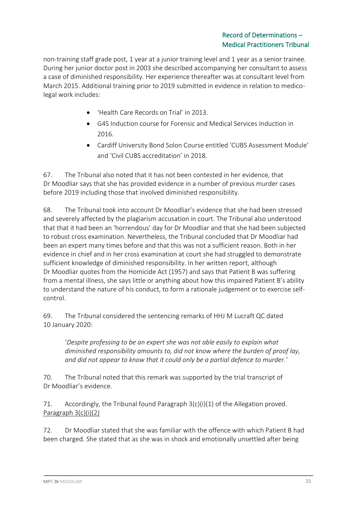non-training staff grade post, 1 year at a junior training level and 1 year as a senior trainee. During her junior doctor post in 2003 she described accompanying her consultant to assess a case of diminished responsibility. Her experience thereafter was at consultant level from March 2015. Additional training prior to 2019 submitted in evidence in relation to medicolegal work includes:

- 'Health Care Records on Trial' in 2013.
- G4S Induction course for Forensic and Medical Services Induction in 2016.
- Cardiff University Bond Solon Course entitled 'CUBS Assessment Module' and 'Civil CUBS accreditation' in 2018.

67. The Tribunal also noted that it has not been contested in her evidence, that Dr Moodliar says that she has provided evidence in a number of previous murder cases before 2019 including those that involved diminished responsibility.

68. The Tribunal took into account Dr Moodliar's evidence that she had been stressed and severely affected by the plagiarism accusation in court. The Tribunal also understood that that it had been an 'horrendous' day for Dr Moodliar and that she had been subjected to robust cross examination. Nevertheless, the Tribunal concluded that Dr Moodliar had been an expert many times before and that this was not a sufficient reason. Both in her evidence in chief and in her cross examination at court she had struggled to demonstrate sufficient knowledge of diminished responsibility. In her written report, although Dr Moodliar quotes from the Homicide Act (1957) and says that Patient B was suffering from a mental illness, she says little or anything about how this impaired Patient B's ability to understand the nature of his conduct, to form a rationale judgement or to exercise selfcontrol.

69. The Tribunal considered the sentencing remarks of HHJ M Lucraft QC dated 10 January 2020:

'*Despite professing to be an expert she was not able easily to explain what diminished responsibility amounts to, did not know where the burden of proof lay, and did not appear to know that it could only be a partial defence to murder.'*

70. The Tribunal noted that this remark was supported by the trial transcript of Dr Moodliar's evidence.

71. Accordingly, the Tribunal found Paragraph 3(c)(i)(1) of the Allegation proved. Paragraph 3(c)(i)(2)

72. Dr Moodliar stated that she was familiar with the offence with which Patient B had been charged. She stated that as she was in shock and emotionally unsettled after being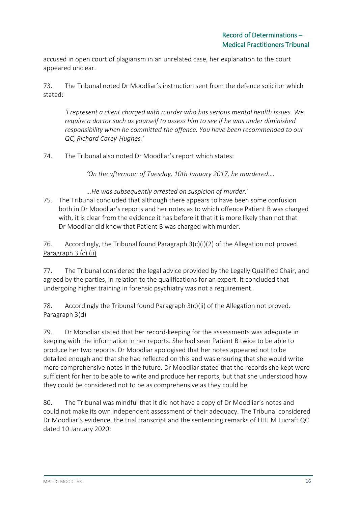accused in open court of plagiarism in an unrelated case, her explanation to the court appeared unclear.

73. The Tribunal noted Dr Moodliar's instruction sent from the defence solicitor which stated:

*'I represent a client charged with murder who has serious mental health issues. We require a doctor such as yourself to assess him to see if he was under diminished responsibility when he committed the offence. You have been recommended to our QC, Richard Carey-Hughes.'*

74. The Tribunal also noted Dr Moodliar's report which states:

*'On the afternoon of Tuesday, 10th January 2017, he murdered….*

*…He was subsequently arrested on suspicion of murder.'*

75. The Tribunal concluded that although there appears to have been some confusion both in Dr Moodliar's reports and her notes as to which offence Patient B was charged with, it is clear from the evidence it has before it that it is more likely than not that Dr Moodliar did know that Patient B was charged with murder.

76. Accordingly, the Tribunal found Paragraph  $3(c)(i)(2)$  of the Allegation not proved. Paragraph 3 (c) (ii)

77. The Tribunal considered the legal advice provided by the Legally Qualified Chair, and agreed by the parties, in relation to the qualifications for an expert. It concluded that undergoing higher training in forensic psychiatry was not a requirement.

78. Accordingly the Tribunal found Paragraph 3(c)(ii) of the Allegation not proved. Paragraph 3(d)

79. Dr Moodliar stated that her record-keeping for the assessments was adequate in keeping with the information in her reports. She had seen Patient B twice to be able to produce her two reports. Dr Moodliar apologised that her notes appeared not to be detailed enough and that she had reflected on this and was ensuring that she would write more comprehensive notes in the future. Dr Moodliar stated that the records she kept were sufficient for her to be able to write and produce her reports, but that she understood how they could be considered not to be as comprehensive as they could be.

80. The Tribunal was mindful that it did not have a copy of Dr Moodliar's notes and could not make its own independent assessment of their adequacy. The Tribunal considered Dr Moodliar's evidence, the trial transcript and the sentencing remarks of HHJ M Lucraft QC dated 10 January 2020: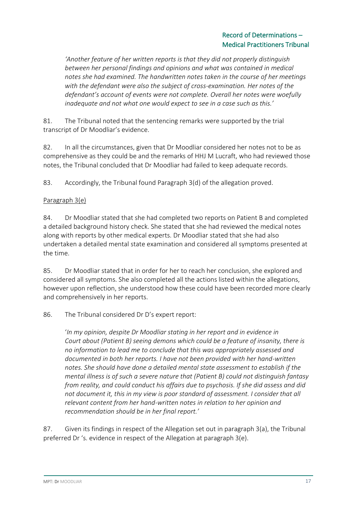*'Another feature of her written reports is that they did not properly distinguish between her personal findings and opinions and what was contained in medical notes she had examined. The handwritten notes taken in the course of her meetings with the defendant were also the subject of cross-examination. Her notes of the defendant's account of events were not complete. Overall her notes were woefully inadequate and not what one would expect to see in a case such as this.'*

81. The Tribunal noted that the sentencing remarks were supported by the trial transcript of Dr Moodliar's evidence.

82. In all the circumstances, given that Dr Moodliar considered her notes not to be as comprehensive as they could be and the remarks of HHJ M Lucraft, who had reviewed those notes, the Tribunal concluded that Dr Moodliar had failed to keep adequate records.

83. Accordingly, the Tribunal found Paragraph 3(d) of the allegation proved.

## Paragraph 3(e)

84. Dr Moodliar stated that she had completed two reports on Patient B and completed a detailed background history check. She stated that she had reviewed the medical notes along with reports by other medical experts. Dr Moodliar stated that she had also undertaken a detailed mental state examination and considered all symptoms presented at the time.

85. Dr Moodliar stated that in order for her to reach her conclusion, she explored and considered all symptoms. She also completed all the actions listed within the allegations, however upon reflection, she understood how these could have been recorded more clearly and comprehensively in her reports.

### 86. The Tribunal considered Dr D's expert report:

'*In my opinion, despite Dr Moodliar stating in her report and in evidence in Court about (Patient B) seeing demons which could be a feature of insanity, there is no information to lead me to conclude that this was appropriately assessed and documented in both her reports. I have not been provided with her hand-written notes. She should have done a detailed mental state assessment to establish if the mental illness is of such a severe nature that (Patient B) could not distinguish fantasy from reality, and could conduct his affairs due to psychosis. If she did assess and did not document it, this in my view is poor standard of assessment. I consider that all relevant content from her hand-written notes in relation to her opinion and recommendation should be in her final report.'*

87. Given its findings in respect of the Allegation set out in paragraph 3(a), the Tribunal preferred Dr 's. evidence in respect of the Allegation at paragraph 3(e).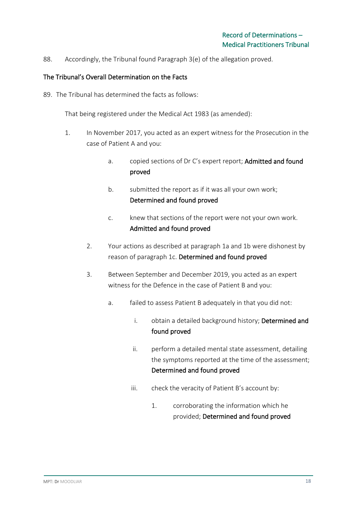88. Accordingly, the Tribunal found Paragraph 3(e) of the allegation proved.

#### The Tribunal's Overall Determination on the Facts

89. The Tribunal has determined the facts as follows:

That being registered under the Medical Act 1983 (as amended):

- 1. In November 2017, you acted as an expert witness for the Prosecution in the case of Patient A and you:
	- a. copied sections of Dr C's expert report; Admitted and found proved
	- b. submitted the report as if it was all your own work; Determined and found proved
	- c. knew that sections of the report were not your own work. Admitted and found proved
	- 2. Your actions as described at paragraph 1a and 1b were dishonest by reason of paragraph 1c. Determined and found proved
	- 3. Between September and December 2019, you acted as an expert witness for the Defence in the case of Patient B and you:
		- a. failed to assess Patient B adequately in that you did not:
			- i. obtain a detailed background history; Determined and found proved
			- ii. perform a detailed mental state assessment, detailing the symptoms reported at the time of the assessment; Determined and found proved
			- iii. check the veracity of Patient B's account by:
				- 1. corroborating the information which he provided; Determined and found proved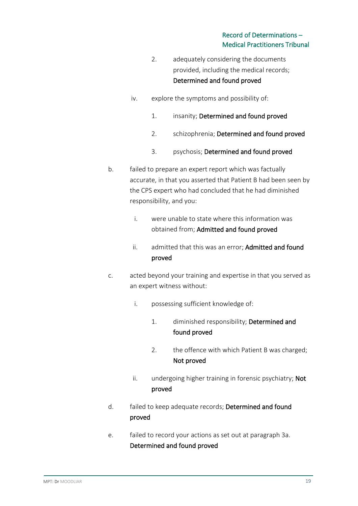- 2. adequately considering the documents provided, including the medical records; Determined and found proved
- iv. explore the symptoms and possibility of:
	- 1. insanity; Determined and found proved
	- 2. schizophrenia; Determined and found proved
	- 3. psychosis; Determined and found proved
- b. failed to prepare an expert report which was factually accurate, in that you asserted that Patient B had been seen by the CPS expert who had concluded that he had diminished responsibility, and you:
	- i. were unable to state where this information was obtained from; Admitted and found proved
	- ii. admitted that this was an error; Admitted and found proved
- c. acted beyond your training and expertise in that you served as an expert witness without:
	- i. possessing sufficient knowledge of:
		- 1. diminished responsibility; Determined and found proved
		- 2. the offence with which Patient B was charged; Not proved
	- ii. undergoing higher training in forensic psychiatry; Not proved
- d. failed to keep adequate records; Determined and found proved
- e. failed to record your actions as set out at paragraph 3a. Determined and found proved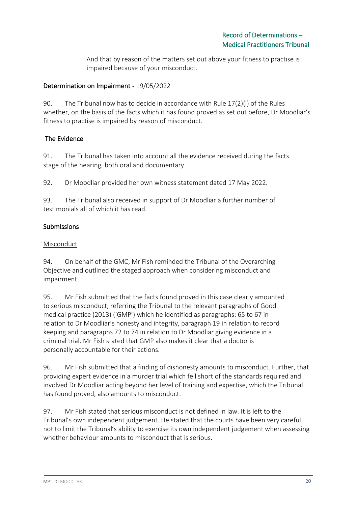And that by reason of the matters set out above your fitness to practise is impaired because of your misconduct.

### Determination on Impairment - 19/05/2022

90. The Tribunal now has to decide in accordance with Rule 17(2)(l) of the Rules whether, on the basis of the facts which it has found proved as set out before, Dr Moodliar's fitness to practise is impaired by reason of misconduct.

## The Evidence

91. The Tribunal has taken into account all the evidence received during the facts stage of the hearing, both oral and documentary.

92. Dr Moodliar provided her own witness statement dated 17 May 2022.

93. The Tribunal also received in support of Dr Moodliar a further number of testimonials all of which it has read.

## Submissions

### Misconduct

94. On behalf of the GMC, Mr Fish reminded the Tribunal of the Overarching Objective and outlined the staged approach when considering misconduct and impairment.

95. Mr Fish submitted that the facts found proved in this case clearly amounted to serious misconduct, referring the Tribunal to the relevant paragraphs of Good medical practice (2013) ('GMP') which he identified as paragraphs: 65 to 67 in relation to Dr Moodliar's honesty and integrity, paragraph 19 in relation to record keeping and paragraphs 72 to 74 in relation to Dr Moodliar giving evidence in a criminal trial. Mr Fish stated that GMP also makes it clear that a doctor is personally accountable for their actions.

96. Mr Fish submitted that a finding of dishonesty amounts to misconduct. Further, that providing expert evidence in a murder trial which fell short of the standards required and involved Dr Moodliar acting beyond her level of training and expertise, which the Tribunal has found proved, also amounts to misconduct.

97. Mr Fish stated that serious misconduct is not defined in law. It is left to the Tribunal's own independent judgement. He stated that the courts have been very careful not to limit the Tribunal's ability to exercise its own independent judgement when assessing whether behaviour amounts to misconduct that is serious.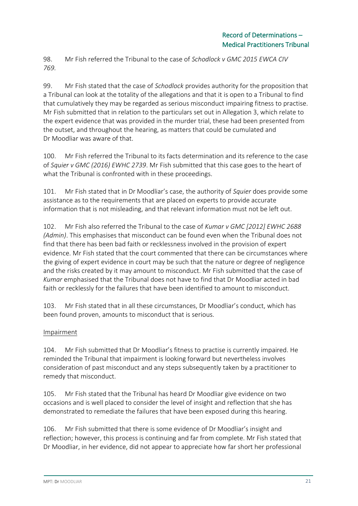98. Mr Fish referred the Tribunal to the case of *Schodlock v GMC 2015 EWCA CIV 769.*

99. Mr Fish stated that the case of *Schodlock* provides authority for the proposition that a Tribunal can look at the totality of the allegations and that it is open to a Tribunal to find that cumulatively they may be regarded as serious misconduct impairing fitness to practise. Mr Fish submitted that in relation to the particulars set out in Allegation 3, which relate to the expert evidence that was provided in the murder trial, these had been presented from the outset, and throughout the hearing, as matters that could be cumulated and Dr Moodliar was aware of that.

100. Mr Fish referred the Tribunal to its facts determination and its reference to the case of *Squier v GMC (2016) EWHC 2739*. Mr Fish submitted that this case goes to the heart of what the Tribunal is confronted with in these proceedings.

101. Mr Fish stated that in Dr Moodliar's case, the authority of *Squier* does provide some assistance as to the requirements that are placed on experts to provide accurate information that is not misleading, and that relevant information must not be left out.

102. Mr Fish also referred the Tribunal to the case of *Kumar v GMC [2012] EWHC 2688 (Admin)*. This emphasises that misconduct can be found even when the Tribunal does not find that there has been bad faith or recklessness involved in the provision of expert evidence. Mr Fish stated that the court commented that there can be circumstances where the giving of expert evidence in court may be such that the nature or degree of negligence and the risks created by it may amount to misconduct. Mr Fish submitted that the case of *Kumar* emphasised that the Tribunal does not have to find that Dr Moodliar acted in bad faith or recklessly for the failures that have been identified to amount to misconduct.

103. Mr Fish stated that in all these circumstances, Dr Moodliar's conduct, which has been found proven, amounts to misconduct that is serious.

## Impairment

104. Mr Fish submitted that Dr Moodliar's fitness to practise is currently impaired. He reminded the Tribunal that impairment is looking forward but nevertheless involves consideration of past misconduct and any steps subsequently taken by a practitioner to remedy that misconduct.

105. Mr Fish stated that the Tribunal has heard Dr Moodliar give evidence on two occasions and is well placed to consider the level of insight and reflection that she has demonstrated to remediate the failures that have been exposed during this hearing.

106. Mr Fish submitted that there is some evidence of Dr Moodliar's insight and reflection; however, this process is continuing and far from complete. Mr Fish stated that Dr Moodliar, in her evidence, did not appear to appreciate how far short her professional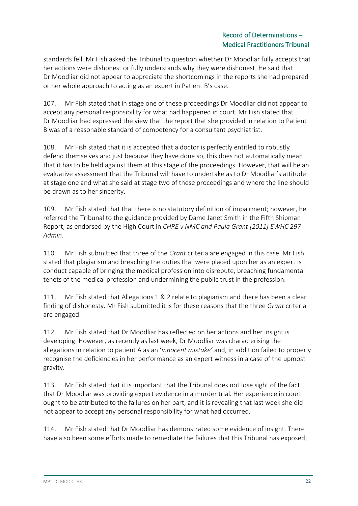standards fell. Mr Fish asked the Tribunal to question whether Dr Moodliar fully accepts that her actions were dishonest or fully understands why they were dishonest. He said that Dr Moodliar did not appear to appreciate the shortcomings in the reports she had prepared or her whole approach to acting as an expert in Patient B's case.

107. Mr Fish stated that in stage one of these proceedings Dr Moodliar did not appear to accept any personal responsibility for what had happened in court. Mr Fish stated that Dr Moodliar had expressed the view that the report that she provided in relation to Patient B was of a reasonable standard of competency for a consultant psychiatrist.

108. Mr Fish stated that it is accepted that a doctor is perfectly entitled to robustly defend themselves and just because they have done so, this does not automatically mean that it has to be held against them at this stage of the proceedings. However, that will be an evaluative assessment that the Tribunal will have to undertake as to Dr Moodliar's attitude at stage one and what she said at stage two of these proceedings and where the line should be drawn as to her sincerity.

109. Mr Fish stated that that there is no statutory definition of impairment; however, he referred the Tribunal to the guidance provided by Dame Janet Smith in the Fifth Shipman Report, as endorsed by the High Court in *CHRE v NMC and Paula Grant [2011] EWHC 297 Admin.* 

110. Mr Fish submitted that three of the *Grant* criteria are engaged in this case. Mr Fish stated that plagiarism and breaching the duties that were placed upon her as an expert is conduct capable of bringing the medical profession into disrepute, breaching fundamental tenets of the medical profession and undermining the public trust in the profession.

111. Mr Fish stated that Allegations 1 & 2 relate to plagiarism and there has been a clear finding of dishonesty. Mr Fish submitted it is for these reasons that the three *Grant* criteria are engaged.

112. Mr Fish stated that Dr Moodliar has reflected on her actions and her insight is developing. However, as recently as last week, Dr Moodliar was characterising the allegations in relation to patient A as an '*innocent mistake'* and, in addition failed to properly recognise the deficiencies in her performance as an expert witness in a case of the upmost gravity.

113. Mr Fish stated that it is important that the Tribunal does not lose sight of the fact that Dr Moodliar was providing expert evidence in a murder trial. Her experience in court ought to be attributed to the failures on her part, and it is revealing that last week she did not appear to accept any personal responsibility for what had occurred.

114. Mr Fish stated that Dr Moodliar has demonstrated some evidence of insight. There have also been some efforts made to remediate the failures that this Tribunal has exposed;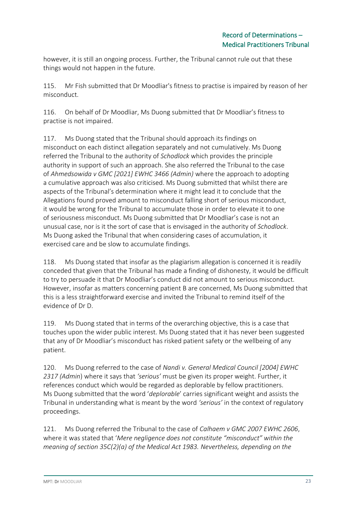however, it is still an ongoing process. Further, the Tribunal cannot rule out that these things would not happen in the future.

115. Mr Fish submitted that Dr Moodliar's fitness to practise is impaired by reason of her misconduct.

116. On behalf of Dr Moodliar, Ms Duong submitted that Dr Moodliar's fitness to practise is not impaired.

117. Ms Duong stated that the Tribunal should approach its findings on misconduct on each distinct allegation separately and not cumulatively. Ms Duong referred the Tribunal to the authority of *Schodlock* which provides the principle authority in support of such an approach. She also referred the Tribunal to the case of *Ahmedsowida v GMC [2021] EWHC 3466 (Admin)* where the approach to adopting a cumulative approach was also criticised. Ms Duong submitted that whilst there are aspects of the Tribunal's determination where it might lead it to conclude that the Allegations found proved amount to misconduct falling short of serious misconduct, it would be wrong for the Tribunal to accumulate those in order to elevate it to one of seriousness misconduct. Ms Duong submitted that Dr Moodliar's case is not an unusual case, nor is it the sort of case that is envisaged in the authority of *Schodlock*. Ms Duong asked the Tribunal that when considering cases of accumulation, it exercised care and be slow to accumulate findings.

118. Ms Duong stated that insofar as the plagiarism allegation is concerned it is readily conceded that given that the Tribunal has made a finding of dishonesty, it would be difficult to try to persuade it that Dr Moodliar's conduct did not amount to serious misconduct. However, insofar as matters concerning patient B are concerned, Ms Duong submitted that this is a less straightforward exercise and invited the Tribunal to remind itself of the evidence of Dr D.

119. Ms Duong stated that in terms of the overarching objective, this is a case that touches upon the wider public interest. Ms Duong stated that it has never been suggested that any of Dr Moodliar's misconduct has risked patient safety or the wellbeing of any patient.

120. Ms Duong referred to the case of *Nandi v. General Medical Council [2004] EWHC 2317 (Admin*) where it says that *'serious'* must be given its proper weight. Further, it references conduct which would be regarded as deplorable by fellow practitioners. Ms Duong submitted that the word '*deplorable*' carries significant weight and assists the Tribunal in understanding what is meant by the word *'serious'* in the context of regulatory proceedings.

121. Ms Duong referred the Tribunal to the case of *Calhaem v GMC 2007 EWHC 2606*, where it was stated that '*Mere negligence does not constitute "misconduct" within the meaning of section 35C(2)(a) of the Medical Act 1983. Nevertheless, depending on the*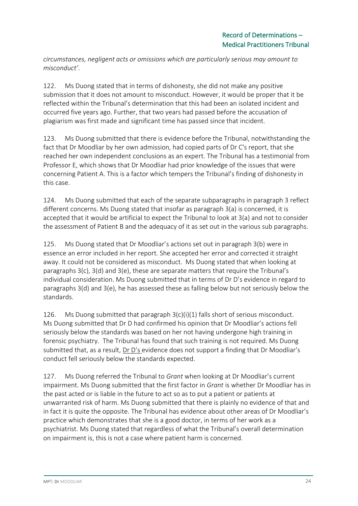*circumstances, negligent acts or omissions which are particularly serious may amount to misconduct'*.

122. Ms Duong stated that in terms of dishonesty, she did not make any positive submission that it does not amount to misconduct. However, it would be proper that it be reflected within the Tribunal's determination that this had been an isolated incident and occurred five years ago. Further, that two years had passed before the accusation of plagiarism was first made and significant time has passed since that incident.

123. Ms Duong submitted that there is evidence before the Tribunal, notwithstanding the fact that Dr Moodliar by her own admission, had copied parts of Dr C's report, that she reached her own independent conclusions as an expert. The Tribunal has a testimonial from Professor E, which shows that Dr Moodliar had prior knowledge of the issues that were concerning Patient A. This is a factor which tempers the Tribunal's finding of dishonesty in this case.

124. Ms Duong submitted that each of the separate subparagraphs in paragraph 3 reflect different concerns. Ms Duong stated that insofar as paragraph 3(a) is concerned, it is accepted that it would be artificial to expect the Tribunal to look at 3(a) and not to consider the assessment of Patient B and the adequacy of it as set out in the various sub paragraphs.

125. Ms Duong stated that Dr Moodliar's actions set out in paragraph 3(b) were in essence an error included in her report. She accepted her error and corrected it straight away. It could not be considered as misconduct. Ms Duong stated that when looking at paragraphs 3(c), 3(d) and 3(e), these are separate matters that require the Tribunal's individual consideration. Ms Duong submitted that in terms of Dr D's evidence in regard to paragraphs 3(d) and 3(e), he has assessed these as falling below but not seriously below the standards.

126. Ms Duong submitted that paragraph 3(c)(i)(1) falls short of serious misconduct. Ms Duong submitted that Dr D had confirmed his opinion that Dr Moodliar's actions fell seriously below the standards was based on her not having undergone high training in forensic psychiatry. The Tribunal has found that such training is not required. Ms Duong submitted that, as a result, Dr D's evidence does not support a finding that Dr Moodliar's conduct fell seriously below the standards expected.

127. Ms Duong referred the Tribunal to *Grant* when looking at Dr Moodliar's current impairment. Ms Duong submitted that the first factor in *Grant* is whether Dr Moodliar has in the past acted or is liable in the future to act so as to put a patient or patients at unwarranted risk of harm. Ms Duong submitted that there is plainly no evidence of that and in fact it is quite the opposite. The Tribunal has evidence about other areas of Dr Moodliar's practice which demonstrates that she is a good doctor, in terms of her work as a psychiatrist. Ms Duong stated that regardless of what the Tribunal's overall determination on impairment is, this is not a case where patient harm is concerned.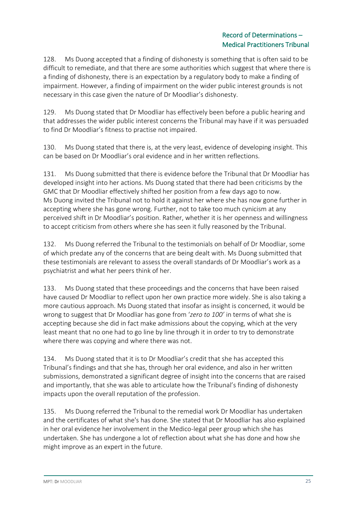128. Ms Duong accepted that a finding of dishonesty is something that is often said to be difficult to remediate, and that there are some authorities which suggest that where there is a finding of dishonesty, there is an expectation by a regulatory body to make a finding of impairment. However, a finding of impairment on the wider public interest grounds is not necessary in this case given the nature of Dr Moodliar's dishonesty.

129. Ms Duong stated that Dr Moodliar has effectively been before a public hearing and that addresses the wider public interest concerns the Tribunal may have if it was persuaded to find Dr Moodliar's fitness to practise not impaired.

130. Ms Duong stated that there is, at the very least, evidence of developing insight. This can be based on Dr Moodliar's oral evidence and in her written reflections.

131. Ms Duong submitted that there is evidence before the Tribunal that Dr Moodliar has developed insight into her actions. Ms Duong stated that there had been criticisms by the GMC that Dr Moodliar effectively shifted her position from a few days ago to now. Ms Duong invited the Tribunal not to hold it against her where she has now gone further in accepting where she has gone wrong. Further, not to take too much cynicism at any perceived shift in Dr Moodliar's position. Rather, whether it is her openness and willingness to accept criticism from others where she has seen it fully reasoned by the Tribunal.

132. Ms Duong referred the Tribunal to the testimonials on behalf of Dr Moodliar, some of which predate any of the concerns that are being dealt with. Ms Duong submitted that these testimonials are relevant to assess the overall standards of Dr Moodliar's work as a psychiatrist and what her peers think of her.

133. Ms Duong stated that these proceedings and the concerns that have been raised have caused Dr Moodliar to reflect upon her own practice more widely. She is also taking a more cautious approach. Ms Duong stated that insofar as insight is concerned, it would be wrong to suggest that Dr Moodliar has gone from '*zero to 100'* in terms of what she is accepting because she did in fact make admissions about the copying, which at the very least meant that no one had to go line by line through it in order to try to demonstrate where there was copying and where there was not.

134. Ms Duong stated that it is to Dr Moodliar's credit that she has accepted this Tribunal's findings and that she has, through her oral evidence, and also in her written submissions, demonstrated a significant degree of insight into the concerns that are raised and importantly, that she was able to articulate how the Tribunal's finding of dishonesty impacts upon the overall reputation of the profession.

135. Ms Duong referred the Tribunal to the remedial work Dr Moodliar has undertaken and the certificates of what she's has done. She stated that Dr Moodliar has also explained in her oral evidence her involvement in the Medico-legal peer group which she has undertaken. She has undergone a lot of reflection about what she has done and how she might improve as an expert in the future.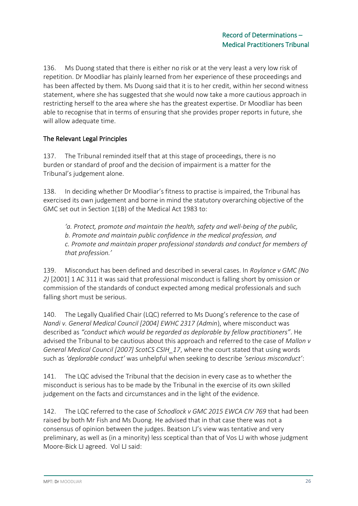136. Ms Duong stated that there is either no risk or at the very least a very low risk of repetition. Dr Moodliar has plainly learned from her experience of these proceedings and has been affected by them. Ms Duong said that it is to her credit, within her second witness statement, where she has suggested that she would now take a more cautious approach in restricting herself to the area where she has the greatest expertise. Dr Moodliar has been able to recognise that in terms of ensuring that she provides proper reports in future, she will allow adequate time.

## The Relevant Legal Principles

137. The Tribunal reminded itself that at this stage of proceedings, there is no burden or standard of proof and the decision of impairment is a matter for the Tribunal's judgement alone.

138. In deciding whether Dr Moodliar's fitness to practise is impaired, the Tribunal has exercised its own judgement and borne in mind the statutory overarching objective of the GMC set out in Section 1(1B) of the Medical Act 1983 to:

*'a. Protect, promote and maintain the health, safety and well-being of the public, b. Promote and maintain public confidence in the medical profession, and c. Promote and maintain proper professional standards and conduct for members of that profession.'*

139. Misconduct has been defined and described in several cases. In *Roylance v GMC (No 2)* [2001] 1 AC 311 it was said that professional misconduct is falling short by omission or commission of the standards of conduct expected among medical professionals and such falling short must be serious.

140. The Legally Qualified Chair (LQC) referred to Ms Duong's reference to the case of *Nandi v. General Medical Council [2004] EWHC 2317 (Admin*), where misconduct was described as *"conduct which would be regarded as deplorable by fellow practitioners"*. He advised the Tribunal to be cautious about this approach and referred to the case of *Mallon v General Medical Council [2007] ScotCS CSIH\_17*, where the court stated that using words such as *'deplorable conduct'* was unhelpful when seeking to describe *'serious misconduct'*:

141. The LQC advised the Tribunal that the decision in every case as to whether the misconduct is serious has to be made by the Tribunal in the exercise of its own skilled judgement on the facts and circumstances and in the light of the evidence.

142. The LQC referred to the case of *Schodlock v GMC 2015 EWCA CIV 769* that had been raised by both Mr Fish and Ms Duong. He advised that in that case there was not a consensus of opinion between the judges. Beatson LJ's view was tentative and very preliminary, as well as (in a minority) less sceptical than that of Vos LJ with whose judgment Moore-Bick LJ agreed. Vol LJ said: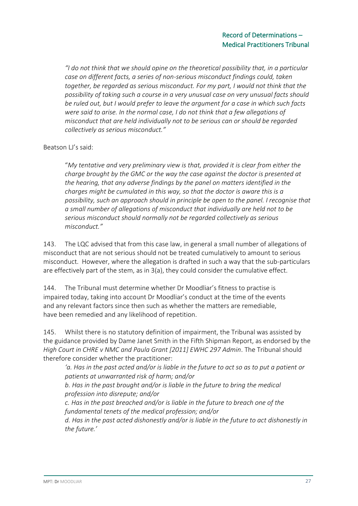*"I do not think that we should opine on the theoretical possibility that, in a particular case on different facts, a series of non-serious misconduct findings could, taken together, be regarded as serious misconduct. For my part, I would not think that the possibility of taking such a course in a very unusual case on very unusual facts should be ruled out, but I would prefer to leave the argument for a case in which such facts were said to arise. In the normal case, I do not think that a few allegations of misconduct that are held individually not to be serious can or should be regarded collectively as serious misconduct."* 

Beatson LJ's said:

"*My tentative and very preliminary view is that, provided it is clear from either the charge brought by the GMC or the way the case against the doctor is presented at the hearing, that any adverse findings by the panel on matters identified in the charges might be cumulated in this way, so that the doctor is aware this is a possibility, such an approach should in principle be open to the panel. I recognise that a small number of allegations of misconduct that individually are held not to be serious misconduct should normally not be regarded collectively as serious misconduct."*

143. The LQC advised that from this case law, in general a small number of allegations of misconduct that are not serious should not be treated cumulatively to amount to serious misconduct. However, where the allegation is drafted in such a way that the sub-particulars are effectively part of the stem, as in 3(a), they could consider the cumulative effect.

144. The Tribunal must determine whether Dr Moodliar's fitness to practise is impaired today, taking into account Dr Moodliar's conduct at the time of the events and any relevant factors since then such as whether the matters are remediable, have been remedied and any likelihood of repetition.

145. Whilst there is no statutory definition of impairment, the Tribunal was assisted by the guidance provided by Dame Janet Smith in the Fifth Shipman Report, as endorsed by the *High Court in CHRE v NMC and Paula Grant [2011] EWHC 297 Admin*. The Tribunal should therefore consider whether the practitioner:

*'a. Has in the past acted and/or is liable in the future to act so as to put a patient or patients at unwarranted risk of harm; and/or*

*b. Has in the past brought and/or is liable in the future to bring the medical profession into disrepute; and/or*

*c. Has in the past breached and/or is liable in the future to breach one of the fundamental tenets of the medical profession; and/or*

*d. Has in the past acted dishonestly and/or is liable in the future to act dishonestly in the future.'*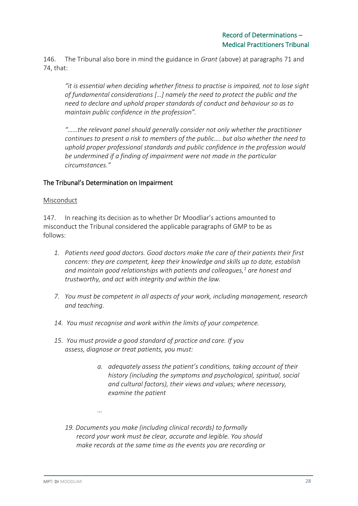146. The Tribunal also bore in mind the guidance in *Grant* (above) at paragraphs 71 and 74, that:

*"it is essential when deciding whether fitness to practise is impaired, not to lose sight of fundamental considerations […] namely the need to protect the public and the need to declare and uphold proper standards of conduct and behaviour so as to maintain public confidence in the profession".*

*"……the relevant panel should generally consider not only whether the practitioner continues to present a risk to members of the public…. but also whether the need to uphold proper professional standards and public confidence in the profession would be undermined if a finding of impairment were not made in the particular circumstances."*

#### The Tribunal's Determination on Impairment

#### Misconduct

147. In reaching its decision as to whether Dr Moodliar's actions amounted to misconduct the Tribunal considered the applicable paragraphs of GMP to be as follows:

- *1. Patients need good doctors. Good doctors make the care of their patients their first concern: they are competent, keep their knowledge and skills up to date, establish and maintain good relationships with patients and colleagues,<sup>1</sup> are honest and trustworthy, and act with integrity and within the law.*
- *7. You must be competent in all aspects of your work, including management, research and teaching.*
- *14. You must recognise and work within the limits of your competence.*
- *15. You must provide a good standard of practice and care. If you assess, diagnose or treat patients, you must:*
	- *a. adequately assess the patient's conditions, taking account of their history (including the symptoms and psychological, spiritual, social and cultural factors), their views and values; where necessary, examine the patient*
	- *19. Documents you make (including clinical records) to formally record your work must be clear, accurate and legible. You should make records at the same time as the events you are recording or*

*…*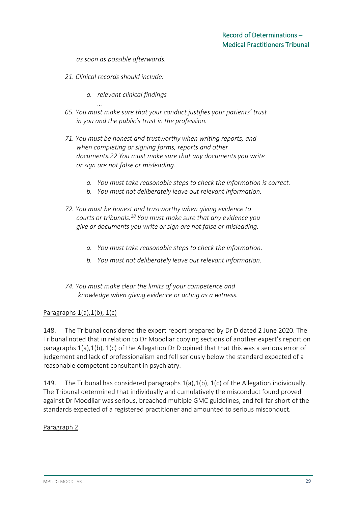*as soon as possible afterwards.*

- *21. Clinical records should include:*
	- *a. relevant clinical findings*
- *… 65. You must make sure that your conduct justifies your patients' trust in you and the public's trust in the profession.*
- *71. You must be honest and trustworthy when writing reports, and when completing or signing forms, reports and other documents.22 You must make sure that any documents you write or sign are not false or misleading.*
	- *a. You must take reasonable steps to check the information is correct.*
	- *b. You must not deliberately leave out relevant information.*
- *72. You must be honest and trustworthy when giving evidence to courts or tribunals.<sup>28</sup> You must make sure that any evidence you give or documents you write or sign are not false or misleading.*
	- *a. You must take reasonable steps to check the information.*
	- *b. You must not deliberately leave out relevant information.*
- *74. You must make clear the limits of your competence and knowledge when giving evidence or acting as a witness.*

#### Paragraphs  $1(a)$ ,  $1(b)$ ,  $1(c)$

148. The Tribunal considered the expert report prepared by Dr D dated 2 June 2020. The Tribunal noted that in relation to Dr Moodliar copying sections of another expert's report on paragraphs  $1(a)$ ,  $1(b)$ ,  $1(c)$  of the Allegation Dr D opined that that this was a serious error of judgement and lack of professionalism and fell seriously below the standard expected of a reasonable competent consultant in psychiatry.

149. The Tribunal has considered paragraphs 1(a),1(b), 1(c) of the Allegation individually. The Tribunal determined that individually and cumulatively the misconduct found proved against Dr Moodliar was serious, breached multiple GMC guidelines, and fell far short of the standards expected of a registered practitioner and amounted to serious misconduct.

#### Paragraph 2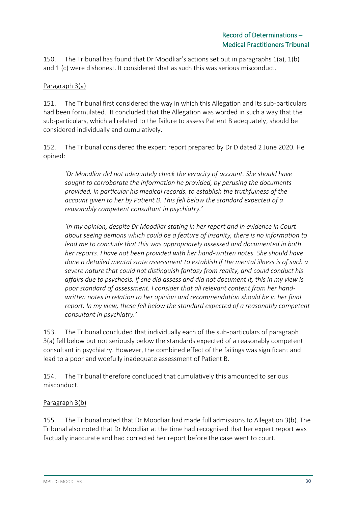150. The Tribunal has found that Dr Moodliar's actions set out in paragraphs 1(a), 1(b) and 1 (c) were dishonest. It considered that as such this was serious misconduct.

### Paragraph 3(a)

151. The Tribunal first considered the way in which this Allegation and its sub-particulars had been formulated. It concluded that the Allegation was worded in such a way that the sub-particulars, which all related to the failure to assess Patient B adequately, should be considered individually and cumulatively.

152. The Tribunal considered the expert report prepared by Dr D dated 2 June 2020. He opined:

*'Dr Moodliar did not adequately check the veracity of account. She should have sought to corroborate the information he provided, by perusing the documents provided, in particular his medical records, to establish the truthfulness of the account given to her by Patient B. This fell below the standard expected of a reasonably competent consultant in psychiatry.'*

*'In my opinion, despite Dr Moodliar stating in her report and in evidence in Court about seeing demons which could be a feature of insanity, there is no information to lead me to conclude that this was appropriately assessed and documented in both her reports. I have not been provided with her hand-written notes. She should have done a detailed mental state assessment to establish if the mental illness is of such a severe nature that could not distinguish fantasy from reality, and could conduct his affairs due to psychosis. If she did assess and did not document it, this in my view is poor standard of assessment. I consider that all relevant content from her handwritten notes in relation to her opinion and recommendation should be in her final report. In my view, these fell below the standard expected of a reasonably competent consultant in psychiatry.'*

153. The Tribunal concluded that individually each of the sub-particulars of paragraph 3(a) fell below but not seriously below the standards expected of a reasonably competent consultant in psychiatry. However, the combined effect of the failings was significant and lead to a poor and woefully inadequate assessment of Patient B.

154. The Tribunal therefore concluded that cumulatively this amounted to serious misconduct.

### Paragraph 3(b)

155. The Tribunal noted that Dr Moodliar had made full admissions to Allegation 3(b). The Tribunal also noted that Dr Moodliar at the time had recognised that her expert report was factually inaccurate and had corrected her report before the case went to court.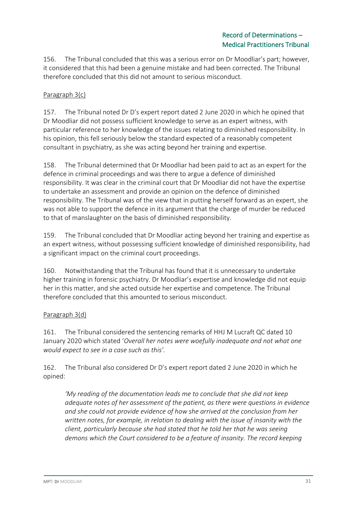156. The Tribunal concluded that this was a serious error on Dr Moodliar's part; however, it considered that this had been a genuine mistake and had been corrected. The Tribunal therefore concluded that this did not amount to serious misconduct.

## Paragraph 3(c)

157. The Tribunal noted Dr D's expert report dated 2 June 2020 in which he opined that Dr Moodliar did not possess sufficient knowledge to serve as an expert witness, with particular reference to her knowledge of the issues relating to diminished responsibility. In his opinion, this fell seriously below the standard expected of a reasonably competent consultant in psychiatry, as she was acting beyond her training and expertise.

158. The Tribunal determined that Dr Moodliar had been paid to act as an expert for the defence in criminal proceedings and was there to argue a defence of diminished responsibility. It was clear in the criminal court that Dr Moodliar did not have the expertise to undertake an assessment and provide an opinion on the defence of diminished responsibility. The Tribunal was of the view that in putting herself forward as an expert, she was not able to support the defence in its argument that the charge of murder be reduced to that of manslaughter on the basis of diminished responsibility.

159. The Tribunal concluded that Dr Moodliar acting beyond her training and expertise as an expert witness, without possessing sufficient knowledge of diminished responsibility, had a significant impact on the criminal court proceedings.

160. Notwithstanding that the Tribunal has found that it is unnecessary to undertake higher training in forensic psychiatry. Dr Moodliar's expertise and knowledge did not equip her in this matter, and she acted outside her expertise and competence. The Tribunal therefore concluded that this amounted to serious misconduct.

### Paragraph 3(d)

161. The Tribunal considered the sentencing remarks of HHJ M Lucraft QC dated 10 January 2020 which stated '*Overall her notes were woefully inadequate and not what one would expect to see in a case such as this'.*

162. The Tribunal also considered Dr D's expert report dated 2 June 2020 in which he opined:

*'My reading of the documentation leads me to conclude that she did not keep adequate notes of her assessment of the patient, as there were questions in evidence and she could not provide evidence of how she arrived at the conclusion from her written notes, for example, in relation to dealing with the issue of insanity with the client, particularly because she had stated that he told her that he was seeing demons which the Court considered to be a feature of insanity. The record keeping*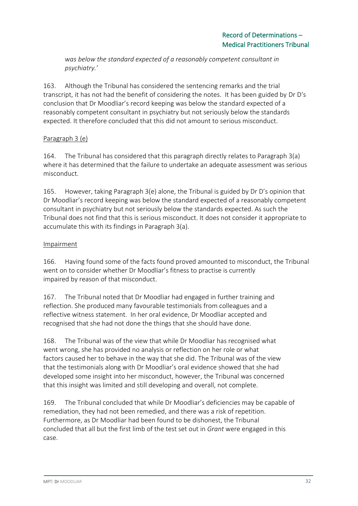*was below the standard expected of a reasonably competent consultant in psychiatry.'*

163. Although the Tribunal has considered the sentencing remarks and the trial transcript, it has not had the benefit of considering the notes. It has been guided by Dr D's conclusion that Dr Moodliar's record keeping was below the standard expected of a reasonably competent consultant in psychiatry but not seriously below the standards expected. It therefore concluded that this did not amount to serious misconduct.

## Paragraph 3 (e)

164. The Tribunal has considered that this paragraph directly relates to Paragraph 3(a) where it has determined that the failure to undertake an adequate assessment was serious misconduct.

165. However, taking Paragraph 3(e) alone, the Tribunal is guided by Dr D's opinion that Dr Moodliar's record keeping was below the standard expected of a reasonably competent consultant in psychiatry but not seriously below the standards expected. As such the Tribunal does not find that this is serious misconduct. It does not consider it appropriate to accumulate this with its findings in Paragraph 3(a).

### Impairment

166. Having found some of the facts found proved amounted to misconduct, the Tribunal went on to consider whether Dr Moodliar's fitness to practise is currently impaired by reason of that misconduct.

167. The Tribunal noted that Dr Moodliar had engaged in further training and reflection. She produced many favourable testimonials from colleagues and a reflective witness statement. In her oral evidence, Dr Moodliar accepted and recognised that she had not done the things that she should have done.

168. The Tribunal was of the view that while Dr Moodliar has recognised what went wrong, she has provided no analysis or reflection on her role or what factors caused her to behave in the way that she did. The Tribunal was of the view that the testimonials along with Dr Moodliar's oral evidence showed that she had developed some insight into her misconduct, however, the Tribunal was concerned that this insight was limited and still developing and overall, not complete.

169. The Tribunal concluded that while Dr Moodliar's deficiencies may be capable of remediation, they had not been remedied, and there was a risk of repetition. Furthermore, as Dr Moodliar had been found to be dishonest, the Tribunal concluded that all but the first limb of the test set out in *Grant* were engaged in this case.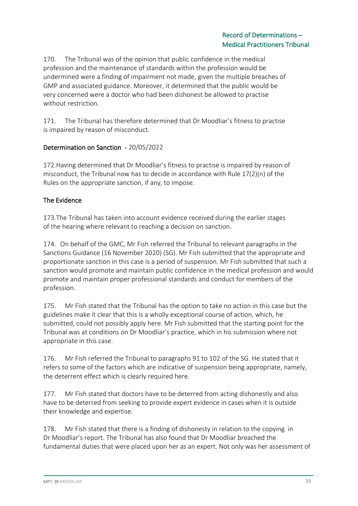170. The Tribunal was of the opinion that public confidence in the medical profession and the maintenance of standards within the profession would be undermined were a finding of impairment not made, given the multiple breaches of GMP and associated guidance. Moreover, it determined that the public would be very concerned were a doctor who had been dishonest be allowed to practise without restriction.

171. The Tribunal has therefore determined that Dr Moodliar's fitness to practise is impaired by reason of misconduct.

## Determination on Sanction - 20/05/2022

172.Having determined that Dr Moodliar's fitness to practise is impaired by reason of misconduct, the Tribunal now has to decide in accordance with Rule 17(2)(n) of the Rules on the appropriate sanction, if any, to impose.

## The Evidence

173.The Tribunal has taken into account evidence received during the earlier stages of the hearing where relevant to reaching a decision on sanction.

174. On behalf of the GMC, Mr Fish referred the Tribunal to relevant paragraphs in the Sanctions Guidance (16 November 2020) (SG). Mr Fish submitted that the appropriate and proportionate sanction in this case is a period of suspension. Mr Fish submitted that such a sanction would promote and maintain public confidence in the medical profession and would promote and maintain proper professional standards and conduct for members of the profession.

175. Mr Fish stated that the Tribunal has the option to take no action in this case but the guidelines make it clear that this is a wholly exceptional course of action, which, he submitted, could not possibly apply here. Mr Fish submitted that the starting point for the Tribunal was at conditions on Dr Moodliar's practice, which in his submission where not appropriate in this case.

176. Mr Fish referred the Tribunal to paragraphs 91 to 102 of the SG. He stated that it refers to some of the factors which are indicative of suspension being appropriate, namely, the deterrent effect which is clearly required here.

177. Mr Fish stated that doctors have to be deterred from acting dishonestly and also have to be deterred from seeking to provide expert evidence in cases when it is outside their knowledge and expertise.

178. Mr Fish stated that there is a finding of dishonesty in relation to the copying in Dr Moodliar's report. The Tribunal has also found that Dr Moodliar breached the fundamental duties that were placed upon her as an expert. Not only was her assessment of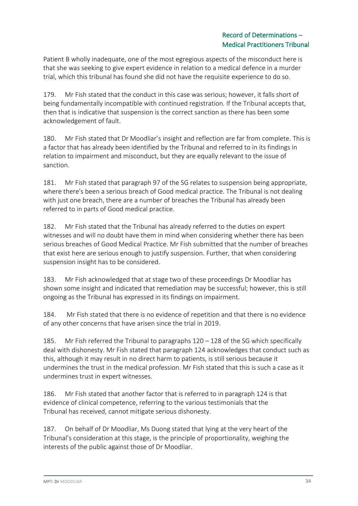Patient B wholly inadequate, one of the most egregious aspects of the misconduct here is that she was seeking to give expert evidence in relation to a medical defence in a murder trial, which this tribunal has found she did not have the requisite experience to do so.

179. Mr Fish stated that the conduct in this case was serious; however, it falls short of being fundamentally incompatible with continued registration. If the Tribunal accepts that, then that is indicative that suspension is the correct sanction as there has been some acknowledgement of fault.

180. Mr Fish stated that Dr Moodliar's insight and reflection are far from complete. This is a factor that has already been identified by the Tribunal and referred to in its findings in relation to impairment and misconduct, but they are equally relevant to the issue of sanction.

181. Mr Fish stated that paragraph 97 of the SG relates to suspension being appropriate, where there's been a serious breach of Good medical practice. The Tribunal is not dealing with just one breach, there are a number of breaches the Tribunal has already been referred to in parts of Good medical practice.

182. Mr Fish stated that the Tribunal has already referred to the duties on expert witnesses and will no doubt have them in mind when considering whether there has been serious breaches of Good Medical Practice. Mr Fish submitted that the number of breaches that exist here are serious enough to justify suspension. Further, that when considering suspension insight has to be considered.

183. Mr Fish acknowledged that at stage two of these proceedings Dr Moodliar has shown some insight and indicated that remediation may be successful; however, this is still ongoing as the Tribunal has expressed in its findings on impairment.

184. Mr Fish stated that there is no evidence of repetition and that there is no evidence of any other concerns that have arisen since the trial in 2019.

185. Mr Fish referred the Tribunal to paragraphs 120 – 128 of the SG which specifically deal with dishonesty. Mr Fish stated that paragraph 124 acknowledges that conduct such as this, although it may result in no direct harm to patients, is still serious because it undermines the trust in the medical profession. Mr Fish stated that this is such a case as it undermines trust in expert witnesses.

186. Mr Fish stated that another factor that is referred to in paragraph 124 is that evidence of clinical competence, referring to the various testimonials that the Tribunal has received, cannot mitigate serious dishonesty.

187. On behalf of Dr Moodliar, Ms Duong stated that lying at the very heart of the Tribunal's consideration at this stage, is the principle of proportionality, weighing the interests of the public against those of Dr Moodliar.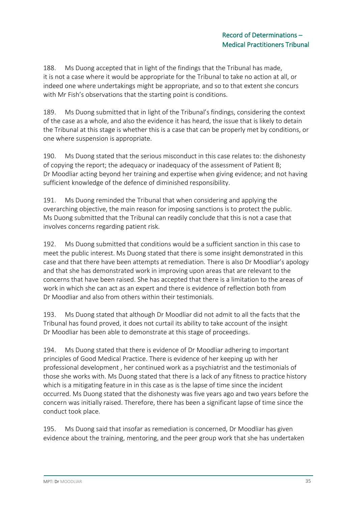188. Ms Duong accepted that in light of the findings that the Tribunal has made, it is not a case where it would be appropriate for the Tribunal to take no action at all, or indeed one where undertakings might be appropriate, and so to that extent she concurs with Mr Fish's observations that the starting point is conditions.

189. Ms Duong submitted that in light of the Tribunal's findings, considering the context of the case as a whole, and also the evidence it has heard, the issue that is likely to detain the Tribunal at this stage is whether this is a case that can be properly met by conditions, or one where suspension is appropriate.

190. Ms Duong stated that the serious misconduct in this case relates to: the dishonesty of copying the report; the adequacy or inadequacy of the assessment of Patient B; Dr Moodliar acting beyond her training and expertise when giving evidence; and not having sufficient knowledge of the defence of diminished responsibility.

191. Ms Duong reminded the Tribunal that when considering and applying the overarching objective, the main reason for imposing sanctions is to protect the public. Ms Duong submitted that the Tribunal can readily conclude that this is not a case that involves concerns regarding patient risk.

192. Ms Duong submitted that conditions would be a sufficient sanction in this case to meet the public interest. Ms Duong stated that there is some insight demonstrated in this case and that there have been attempts at remediation. There is also Dr Moodliar's apology and that she has demonstrated work in improving upon areas that are relevant to the concerns that have been raised. She has accepted that there is a limitation to the areas of work in which she can act as an expert and there is evidence of reflection both from Dr Moodliar and also from others within their testimonials.

193. Ms Duong stated that although Dr Moodliar did not admit to all the facts that the Tribunal has found proved, it does not curtail its ability to take account of the insight Dr Moodliar has been able to demonstrate at this stage of proceedings.

194. Ms Duong stated that there is evidence of Dr Moodliar adhering to important principles of Good Medical Practice. There is evidence of her keeping up with her professional development , her continued work as a psychiatrist and the testimonials of those she works with. Ms Duong stated that there is a lack of any fitness to practice history which is a mitigating feature in in this case as is the lapse of time since the incident occurred. Ms Duong stated that the dishonesty was five years ago and two years before the concern was initially raised. Therefore, there has been a significant lapse of time since the conduct took place.

195. Ms Duong said that insofar as remediation is concerned, Dr Moodliar has given evidence about the training, mentoring, and the peer group work that she has undertaken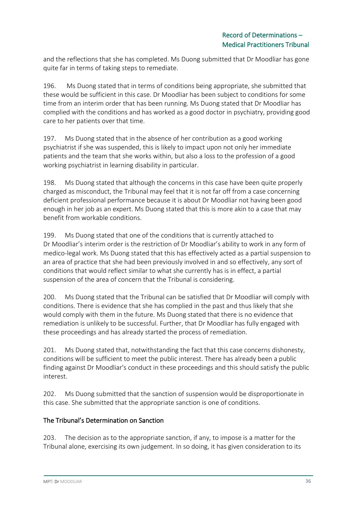and the reflections that she has completed. Ms Duong submitted that Dr Moodliar has gone quite far in terms of taking steps to remediate.

196. Ms Duong stated that in terms of conditions being appropriate, she submitted that these would be sufficient in this case. Dr Moodliar has been subject to conditions for some time from an interim order that has been running. Ms Duong stated that Dr Moodliar has complied with the conditions and has worked as a good doctor in psychiatry, providing good care to her patients over that time.

197. Ms Duong stated that in the absence of her contribution as a good working psychiatrist if she was suspended, this is likely to impact upon not only her immediate patients and the team that she works within, but also a loss to the profession of a good working psychiatrist in learning disability in particular.

198. Ms Duong stated that although the concerns in this case have been quite properly charged as misconduct, the Tribunal may feel that it is not far off from a case concerning deficient professional performance because it is about Dr Moodliar not having been good enough in her job as an expert. Ms Duong stated that this is more akin to a case that may benefit from workable conditions.

199. Ms Duong stated that one of the conditions that is currently attached to Dr Moodliar's interim order is the restriction of Dr Moodliar's ability to work in any form of medico-legal work. Ms Duong stated that this has effectively acted as a partial suspension to an area of practice that she had been previously involved in and so effectively, any sort of conditions that would reflect similar to what she currently has is in effect, a partial suspension of the area of concern that the Tribunal is considering.

200. Ms Duong stated that the Tribunal can be satisfied that Dr Moodliar will comply with conditions. There is evidence that she has complied in the past and thus likely that she would comply with them in the future. Ms Duong stated that there is no evidence that remediation is unlikely to be successful. Further, that Dr Moodliar has fully engaged with these proceedings and has already started the process of remediation.

201. Ms Duong stated that, notwithstanding the fact that this case concerns dishonesty, conditions will be sufficient to meet the public interest. There has already been a public finding against Dr Moodliar's conduct in these proceedings and this should satisfy the public interest.

202. Ms Duong submitted that the sanction of suspension would be disproportionate in this case. She submitted that the appropriate sanction is one of conditions.

## The Tribunal's Determination on Sanction

203. The decision as to the appropriate sanction, if any, to impose is a matter for the Tribunal alone, exercising its own judgement. In so doing, it has given consideration to its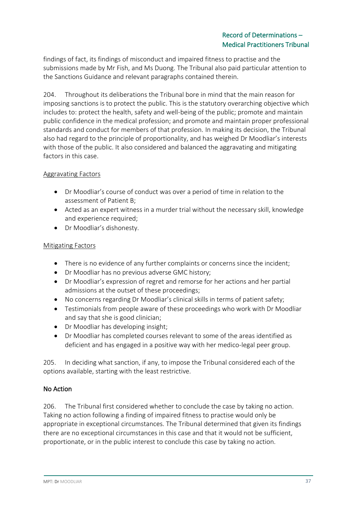findings of fact, its findings of misconduct and impaired fitness to practise and the submissions made by Mr Fish, and Ms Duong. The Tribunal also paid particular attention to the Sanctions Guidance and relevant paragraphs contained therein.

204. Throughout its deliberations the Tribunal bore in mind that the main reason for imposing sanctions is to protect the public. This is the statutory overarching objective which includes to: protect the health, safety and well-being of the public; promote and maintain public confidence in the medical profession; and promote and maintain proper professional standards and conduct for members of that profession. In making its decision, the Tribunal also had regard to the principle of proportionality, and has weighed Dr Moodliar's interests with those of the public. It also considered and balanced the aggravating and mitigating factors in this case.

### Aggravating Factors

- Dr Moodliar's course of conduct was over a period of time in relation to the assessment of Patient B;
- Acted as an expert witness in a murder trial without the necessary skill, knowledge and experience required;
- Dr Moodliar's dishonesty.

#### Mitigating Factors

- There is no evidence of any further complaints or concerns since the incident;
- Dr Moodliar has no previous adverse GMC history;
- Dr Moodliar's expression of regret and remorse for her actions and her partial admissions at the outset of these proceedings;
- No concerns regarding Dr Moodliar's clinical skills in terms of patient safety;
- Testimonials from people aware of these proceedings who work with Dr Moodliar and say that she is good clinician;
- Dr Moodliar has developing insight;
- Dr Moodliar has completed courses relevant to some of the areas identified as deficient and has engaged in a positive way with her medico-legal peer group.

205. In deciding what sanction, if any, to impose the Tribunal considered each of the options available, starting with the least restrictive.

### No Action

206. The Tribunal first considered whether to conclude the case by taking no action. Taking no action following a finding of impaired fitness to practise would only be appropriate in exceptional circumstances. The Tribunal determined that given its findings there are no exceptional circumstances in this case and that it would not be sufficient, proportionate, or in the public interest to conclude this case by taking no action.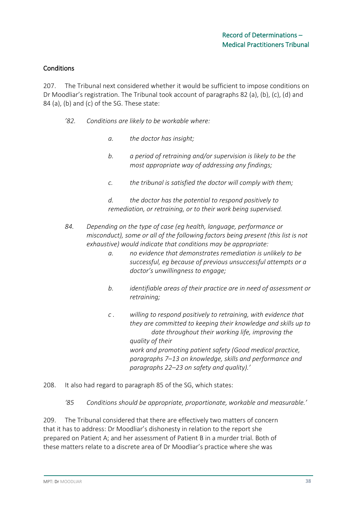### **Conditions**

207. The Tribunal next considered whether it would be sufficient to impose conditions on Dr Moodliar's registration. The Tribunal took account of paragraphs 82 (a), (b), (c), (d) and 84 (a), (b) and (c) of the SG. These state:

- *'82. Conditions are likely to be workable where:*
	- *a. the doctor has insight;*
	- *b. a period of retraining and/or supervision is likely to be the most appropriate way of addressing any findings;*
	- *c. the tribunal is satisfied the doctor will comply with them;*
	- *d. the doctor has the potential to respond positively to remediation, or retraining, or to their work being supervised.*
- *84. Depending on the type of case (eg health, language, performance or misconduct), some or all of the following factors being present (this list is not exhaustive) would indicate that conditions may be appropriate:*
	- *a. no evidence that demonstrates remediation is unlikely to be successful, eg because of previous unsuccessful attempts or a doctor's unwillingness to engage;*
	- *b. identifiable areas of their practice are in need of assessment or retraining;*
	- *c . willing to respond positively to retraining, with evidence that they are committed to keeping their knowledge and skills up to date throughout their working life, improving the quality of their work and promoting patient safety (Good medical practice, paragraphs 7–13 on knowledge, skills and performance and paragraphs 22–23 on safety and quality).'*
- 208. It also had regard to paragraph 85 of the SG, which states:
	- *'85 Conditions should be appropriate, proportionate, workable and measurable.'*

209. The Tribunal considered that there are effectively two matters of concern that it has to address: Dr Moodliar's dishonesty in relation to the report she prepared on Patient A; and her assessment of Patient B in a murder trial. Both of these matters relate to a discrete area of Dr Moodliar's practice where she was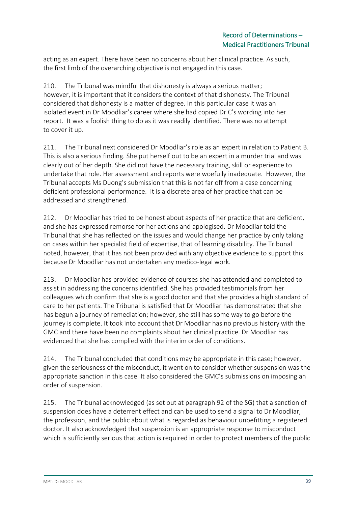acting as an expert. There have been no concerns about her clinical practice. As such, the first limb of the overarching objective is not engaged in this case.

210. The Tribunal was mindful that dishonesty is always a serious matter; however, it is important that it considers the context of that dishonesty. The Tribunal considered that dishonesty is a matter of degree. In this particular case it was an isolated event in Dr Moodliar's career where she had copied Dr C's wording into her report. It was a foolish thing to do as it was readily identified. There was no attempt to cover it up.

211. The Tribunal next considered Dr Moodliar's role as an expert in relation to Patient B. This is also a serious finding. She put herself out to be an expert in a murder trial and was clearly out of her depth. She did not have the necessary training, skill or experience to undertake that role. Her assessment and reports were woefully inadequate. However, the Tribunal accepts Ms Duong's submission that this is not far off from a case concerning deficient professional performance. It is a discrete area of her practice that can be addressed and strengthened.

212. Dr Moodliar has tried to be honest about aspects of her practice that are deficient, and she has expressed remorse for her actions and apologised. Dr Moodliar told the Tribunal that she has reflected on the issues and would change her practice by only taking on cases within her specialist field of expertise, that of learning disability. The Tribunal noted, however, that it has not been provided with any objective evidence to support this because Dr Moodliar has not undertaken any medico-legal work.

213. Dr Moodliar has provided evidence of courses she has attended and completed to assist in addressing the concerns identified. She has provided testimonials from her colleagues which confirm that she is a good doctor and that she provides a high standard of care to her patients. The Tribunal is satisfied that Dr Moodliar has demonstrated that she has begun a journey of remediation; however, she still has some way to go before the journey is complete. It took into account that Dr Moodliar has no previous history with the GMC and there have been no complaints about her clinical practice. Dr Moodliar has evidenced that she has complied with the interim order of conditions.

214. The Tribunal concluded that conditions may be appropriate in this case; however, given the seriousness of the misconduct, it went on to consider whether suspension was the appropriate sanction in this case. It also considered the GMC's submissions on imposing an order of suspension.

215. The Tribunal acknowledged (as set out at paragraph 92 of the SG) that a sanction of suspension does have a deterrent effect and can be used to send a signal to Dr Moodliar, the profession, and the public about what is regarded as behaviour unbefitting a registered doctor. It also acknowledged that suspension is an appropriate response to misconduct which is sufficiently serious that action is required in order to protect members of the public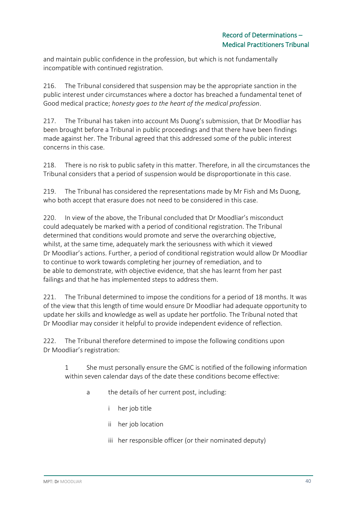and maintain public confidence in the profession, but which is not fundamentally incompatible with continued registration.

216. The Tribunal considered that suspension may be the appropriate sanction in the public interest under circumstances where a doctor has breached a fundamental tenet of Good medical practice; *honesty goes to the heart of the medical profession*.

217. The Tribunal has taken into account Ms Duong's submission, that Dr Moodliar has been brought before a Tribunal in public proceedings and that there have been findings made against her. The Tribunal agreed that this addressed some of the public interest concerns in this case.

218. There is no risk to public safety in this matter. Therefore, in all the circumstances the Tribunal considers that a period of suspension would be disproportionate in this case.

219. The Tribunal has considered the representations made by Mr Fish and Ms Duong, who both accept that erasure does not need to be considered in this case.

220. In view of the above, the Tribunal concluded that Dr Moodliar's misconduct could adequately be marked with a period of conditional registration. The Tribunal determined that conditions would promote and serve the overarching objective, whilst, at the same time, adequately mark the seriousness with which it viewed Dr Moodliar's actions. Further, a period of conditional registration would allow Dr Moodliar to continue to work towards completing her journey of remediation, and to be able to demonstrate, with objective evidence, that she has learnt from her past failings and that he has implemented steps to address them.

221. The Tribunal determined to impose the conditions for a period of 18 months. It was of the view that this length of time would ensure Dr Moodliar had adequate opportunity to update her skills and knowledge as well as update her portfolio. The Tribunal noted that Dr Moodliar may consider it helpful to provide independent evidence of reflection.

222. The Tribunal therefore determined to impose the following conditions upon Dr Moodliar's registration:

1 She must personally ensure the GMC is notified of the following information within seven calendar days of the date these conditions become effective:

- a the details of her current post, including:
	- i her job title
	- ii her job location
	- iii her responsible officer (or their nominated deputy)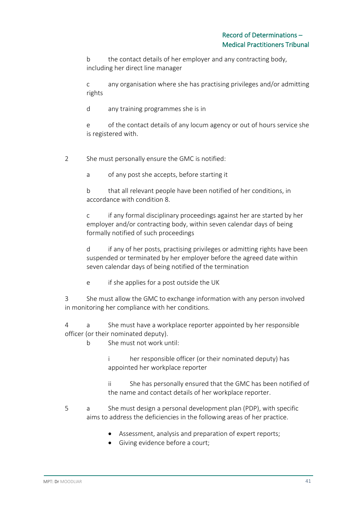b the contact details of her employer and any contracting body, including her direct line manager

c any organisation where she has practising privileges and/or admitting rights

d any training programmes she is in

e of the contact details of any locum agency or out of hours service she is registered with.

2 She must personally ensure the GMC is notified:

a of any post she accepts, before starting it

b that all relevant people have been notified of her conditions, in accordance with condition 8.

c if any formal disciplinary proceedings against her are started by her employer and/or contracting body, within seven calendar days of being formally notified of such proceedings

d if any of her posts, practising privileges or admitting rights have been suspended or terminated by her employer before the agreed date within seven calendar days of being notified of the termination

e if she applies for a post outside the UK

3 She must allow the GMC to exchange information with any person involved in monitoring her compliance with her conditions.

4 a She must have a workplace reporter appointed by her responsible officer (or their nominated deputy).

b She must not work until:

i her responsible officer (or their nominated deputy) has appointed her workplace reporter

ii She has personally ensured that the GMC has been notified of the name and contact details of her workplace reporter.

- 5 a She must design a personal development plan (PDP), with specific aims to address the deficiencies in the following areas of her practice.
	- Assessment, analysis and preparation of expert reports;
	- Giving evidence before a court;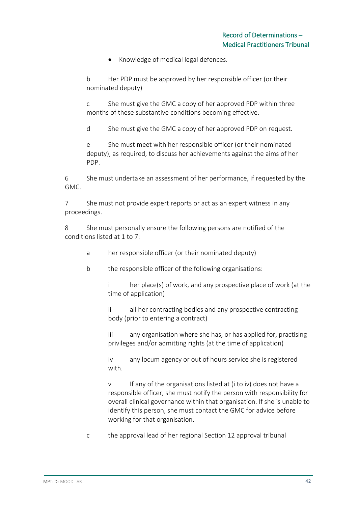• Knowledge of medical legal defences.

b Her PDP must be approved by her responsible officer (or their nominated deputy)

c She must give the GMC a copy of her approved PDP within three months of these substantive conditions becoming effective.

d She must give the GMC a copy of her approved PDP on request.

e She must meet with her responsible officer (or their nominated deputy), as required, to discuss her achievements against the aims of her PDP.

6 She must undertake an assessment of her performance, if requested by the GMC.

7 She must not provide expert reports or act as an expert witness in any proceedings.

8 She must personally ensure the following persons are notified of the conditions listed at 1 to 7:

- a her responsible officer (or their nominated deputy)
- b the responsible officer of the following organisations:

i her place(s) of work, and any prospective place of work (at the time of application)

ii all her contracting bodies and any prospective contracting body (prior to entering a contract)

iii any organisation where she has, or has applied for, practising privileges and/or admitting rights (at the time of application)

iv any locum agency or out of hours service she is registered with.

v If any of the organisations listed at (i to iv) does not have a responsible officer, she must notify the person with responsibility for overall clinical governance within that organisation. If she is unable to identify this person, she must contact the GMC for advice before working for that organisation.

c the approval lead of her regional Section 12 approval tribunal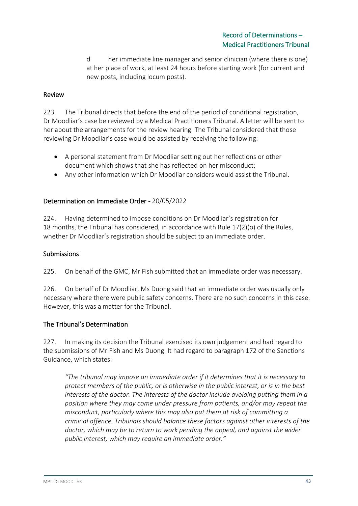d her immediate line manager and senior clinician (where there is one) at her place of work, at least 24 hours before starting work (for current and new posts, including locum posts).

### Review

223. The Tribunal directs that before the end of the period of conditional registration, Dr Moodliar's case be reviewed by a Medical Practitioners Tribunal. A letter will be sent to her about the arrangements for the review hearing. The Tribunal considered that those reviewing Dr Moodliar's case would be assisted by receiving the following:

- A personal statement from Dr Moodliar setting out her reflections or other document which shows that she has reflected on her misconduct;
- Any other information which Dr Moodliar considers would assist the Tribunal.

#### Determination on Immediate Order - 20/05/2022

224. Having determined to impose conditions on Dr Moodliar's registration for 18 months, the Tribunal has considered, in accordance with Rule 17(2)(o) of the Rules, whether Dr Moodliar's registration should be subject to an immediate order.

#### Submissions

225. On behalf of the GMC, Mr Fish submitted that an immediate order was necessary.

226. On behalf of Dr Moodliar, Ms Duong said that an immediate order was usually only necessary where there were public safety concerns. There are no such concerns in this case. However, this was a matter for the Tribunal.

#### The Tribunal's Determination

227. In making its decision the Tribunal exercised its own judgement and had regard to the submissions of Mr Fish and Ms Duong. It had regard to paragraph 172 of the Sanctions Guidance, which states:

*"The tribunal may impose an immediate order if it determines that it is necessary to protect members of the public, or is otherwise in the public interest, or is in the best interests of the doctor. The interests of the doctor include avoiding putting them in a position where they may come under pressure from patients, and/or may repeat the misconduct, particularly where this may also put them at risk of committing a criminal offence. Tribunals should balance these factors against other interests of the doctor, which may be to return to work pending the appeal, and against the wider public interest, which may require an immediate order."*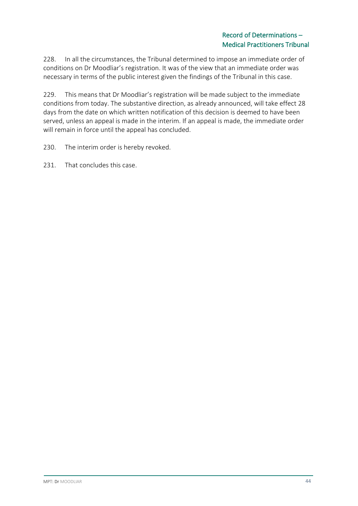228. In all the circumstances, the Tribunal determined to impose an immediate order of conditions on Dr Moodliar's registration. It was of the view that an immediate order was necessary in terms of the public interest given the findings of the Tribunal in this case.

229. This means that Dr Moodliar's registration will be made subject to the immediate conditions from today. The substantive direction, as already announced, will take effect 28 days from the date on which written notification of this decision is deemed to have been served, unless an appeal is made in the interim. If an appeal is made, the immediate order will remain in force until the appeal has concluded.

- 230. The interim order is hereby revoked.
- 231. That concludes this case.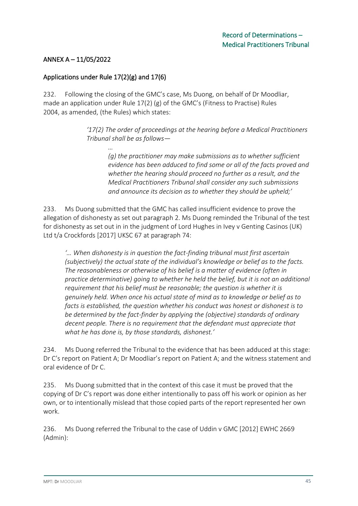## ANNEX A – 11/05/2022

### Applications under Rule 17(2)(g) and 17(6)

232. Following the closing of the GMC's case, Ms Duong, on behalf of Dr Moodliar, made an application under Rule 17(2) (g) of the GMC's (Fitness to Practise) Rules 2004, as amended, (the Rules) which states:

> *'17(2) The order of proceedings at the hearing before a Medical Practitioners Tribunal shall be as follows—*

*… (g) the practitioner may make submissions as to whether sufficient evidence has been adduced to find some or all of the facts proved and whether the hearing should proceed no further as a result, and the Medical Practitioners Tribunal shall consider any such submissions and announce its decision as to whether they should be upheld;'* 

233. Ms Duong submitted that the GMC has called insufficient evidence to prove the allegation of dishonesty as set out paragraph 2. Ms Duong reminded the Tribunal of the test for dishonesty as set out in in the judgment of Lord Hughes in Ivey v Genting Casinos (UK) Ltd t/a Crockfords [2017] UKSC 67 at paragraph 74:

*'… When dishonesty is in question the fact-finding tribunal must first ascertain (subjectively) the actual state of the individual's knowledge or belief as to the facts. The reasonableness or otherwise of his belief is a matter of evidence (often in practice determinative) going to whether he held the belief, but it is not an additional requirement that his belief must be reasonable; the question is whether it is genuinely held. When once his actual state of mind as to knowledge or belief as to facts is established, the question whether his conduct was honest or dishonest is to be determined by the fact-finder by applying the (objective) standards of ordinary decent people. There is no requirement that the defendant must appreciate that what he has done is, by those standards, dishonest.'*

234. Ms Duong referred the Tribunal to the evidence that has been adduced at this stage: Dr C's report on Patient A; Dr Moodliar's report on Patient A; and the witness statement and oral evidence of Dr C.

235. Ms Duong submitted that in the context of this case it must be proved that the copying of Dr C's report was done either intentionally to pass off his work or opinion as her own, or to intentionally mislead that those copied parts of the report represented her own work.

236. Ms Duong referred the Tribunal to the case of Uddin v GMC [2012] EWHC 2669 (Admin):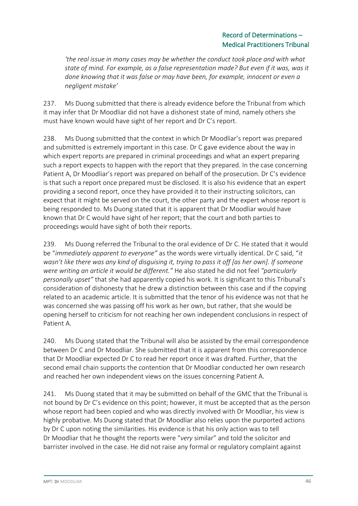*'the real issue in many cases may be whether the conduct took place and with what state of mind. For example, as a false representation made? But even if it was, was it done knowing that it was false or may have been, for example, innocent or even a negligent mistake'*

237. Ms Duong submitted that there is already evidence before the Tribunal from which it may infer that Dr Moodliar did not have a dishonest state of mind, namely others she must have known would have sight of her report and Dr C's report.

238. Ms Duong submitted that the context in which Dr Moodliar's report was prepared and submitted is extremely important in this case. Dr C gave evidence about the way in which expert reports are prepared in criminal proceedings and what an expert preparing such a report expects to happen with the report that they prepared. In the case concerning Patient A, Dr Moodliar's report was prepared on behalf of the prosecution. Dr C's evidence is that such a report once prepared must be disclosed. It is also his evidence that an expert providing a second report, once they have provided it to their instructing solicitors, can expect that it might be served on the court, the other party and the expert whose report is being responded to. Ms Duong stated that it is apparent that Dr Moodliar would have known that Dr C would have sight of her report; that the court and both parties to proceedings would have sight of both their reports.

239. Ms Duong referred the Tribunal to the oral evidence of Dr C. He stated that it would be "*immediately apparent to everyone"* as the words were virtually identical. Dr C said, "*it wasn't like there was any kind of disguising it, trying to pass it off [as her own]. If someone were writing an article it would be different."* He also stated he did not feel *"particularly personally upset"* that she had apparently copied his work. It is significant to this Tribunal's consideration of dishonesty that he drew a distinction between this case and if the copying related to an academic article. It is submitted that the tenor of his evidence was not that he was concerned she was passing off his work as her own, but rather, that she would be opening herself to criticism for not reaching her own independent conclusions in respect of Patient A.

240. Ms Duong stated that the Tribunal will also be assisted by the email correspondence between Dr C and Dr Moodliar. She submitted that it is apparent from this correspondence that Dr Moodliar expected Dr C to read her report once it was drafted. Further, that the second email chain supports the contention that Dr Moodliar conducted her own research and reached her own independent views on the issues concerning Patient A.

241. Ms Duong stated that it may be submitted on behalf of the GMC that the Tribunal is not bound by Dr C's evidence on this point; however, it must be accepted that as the person whose report had been copied and who was directly involved with Dr Moodliar, his view is highly probative. Ms Duong stated that Dr Moodliar also relies upon the purported actions by Dr C upon noting the similarities. His evidence is that his only action was to tell Dr Moodliar that he thought the reports were "*very* similar" and told the solicitor and barrister involved in the case. He did not raise any formal or regulatory complaint against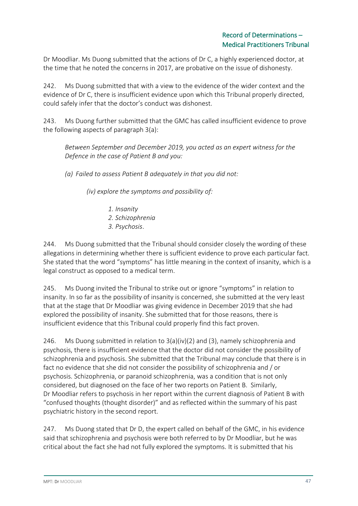Dr Moodliar. Ms Duong submitted that the actions of Dr C, a highly experienced doctor, at the time that he noted the concerns in 2017, are probative on the issue of dishonesty.

242. Ms Duong submitted that with a view to the evidence of the wider context and the evidence of Dr C, there is insufficient evidence upon which this Tribunal properly directed, could safely infer that the doctor's conduct was dishonest.

243. Ms Duong further submitted that the GMC has called insufficient evidence to prove the following aspects of paragraph 3(a):

*Between September and December 2019, you acted as an expert witness for the Defence in the case of Patient B and you:*

*(a) Failed to assess Patient B adequately in that you did not:*

*(iv) explore the symptoms and possibility of:*

*1. Insanity 2. Schizophrenia 3. Psychosis*.

244. Ms Duong submitted that the Tribunal should consider closely the wording of these allegations in determining whether there is sufficient evidence to prove each particular fact. She stated that the word "symptoms" has little meaning in the context of insanity, which is a legal construct as opposed to a medical term.

245. Ms Duong invited the Tribunal to strike out or ignore "symptoms" in relation to insanity. In so far as the possibility of insanity is concerned, she submitted at the very least that at the stage that Dr Moodliar was giving evidence in December 2019 that she had explored the possibility of insanity. She submitted that for those reasons, there is insufficient evidence that this Tribunal could properly find this fact proven.

246. Ms Duong submitted in relation to 3(a)(iv)(2) and (3), namely schizophrenia and psychosis, there is insufficient evidence that the doctor did not consider the possibility of schizophrenia and psychosis. She submitted that the Tribunal may conclude that there is in fact no evidence that she did not consider the possibility of schizophrenia and / or psychosis. Schizophrenia, or paranoid schizophrenia, was a condition that is not only considered, but diagnosed on the face of her two reports on Patient B. Similarly, Dr Moodliar refers to psychosis in her report within the current diagnosis of Patient B with "confused thoughts (thought disorder)" and as reflected within the summary of his past psychiatric history in the second report.

247. Ms Duong stated that Dr D, the expert called on behalf of the GMC, in his evidence said that schizophrenia and psychosis were both referred to by Dr Moodliar, but he was critical about the fact she had not fully explored the symptoms. It is submitted that his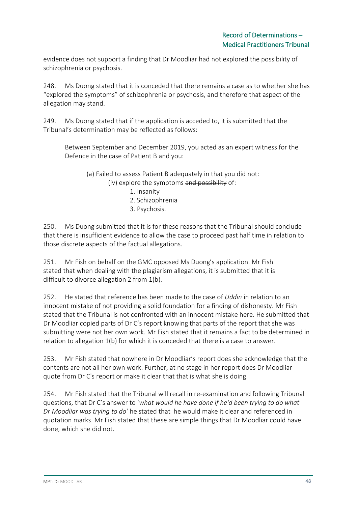evidence does not support a finding that Dr Moodliar had not explored the possibility of schizophrenia or psychosis.

248. Ms Duong stated that it is conceded that there remains a case as to whether she has "explored the symptoms" of schizophrenia or psychosis, and therefore that aspect of the allegation may stand.

249. Ms Duong stated that if the application is acceded to, it is submitted that the Tribunal's determination may be reflected as follows:

Between September and December 2019, you acted as an expert witness for the Defence in the case of Patient B and you:

(a) Failed to assess Patient B adequately in that you did not: (iv) explore the symptoms and possibility of:

- 1. Insanity
- 2. Schizophrenia
- 3. Psychosis.

250. Ms Duong submitted that it is for these reasons that the Tribunal should conclude that there is insufficient evidence to allow the case to proceed past half time in relation to those discrete aspects of the factual allegations.

251. Mr Fish on behalf on the GMC opposed Ms Duong's application. Mr Fish stated that when dealing with the plagiarism allegations, it is submitted that it is difficult to divorce allegation 2 from 1(b).

252. He stated that reference has been made to the case of *Uddin* in relation to an innocent mistake of not providing a solid foundation for a finding of dishonesty. Mr Fish stated that the Tribunal is not confronted with an innocent mistake here. He submitted that Dr Moodliar copied parts of Dr C's report knowing that parts of the report that she was submitting were not her own work. Mr Fish stated that it remains a fact to be determined in relation to allegation 1(b) for which it is conceded that there is a case to answer.

253. Mr Fish stated that nowhere in Dr Moodliar's report does she acknowledge that the contents are not all her own work. Further, at no stage in her report does Dr Moodliar quote from Dr C's report or make it clear that that is what she is doing.

254. Mr Fish stated that the Tribunal will recall in re-examination and following Tribunal questions, that Dr C's answer to '*what would he have done if he'd been trying to do what Dr Moodliar was trying to do*' he stated that he would make it clear and referenced in quotation marks. Mr Fish stated that these are simple things that Dr Moodliar could have done, which she did not.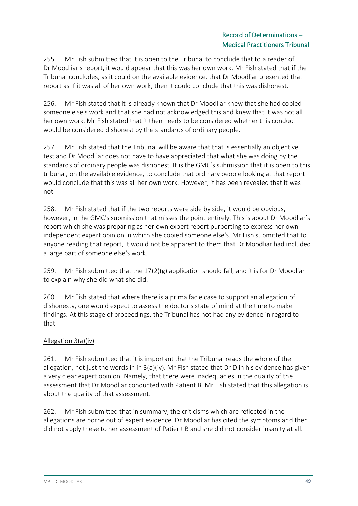255. Mr Fish submitted that it is open to the Tribunal to conclude that to a reader of Dr Moodliar's report, it would appear that this was her own work. Mr Fish stated that if the Tribunal concludes, as it could on the available evidence, that Dr Moodliar presented that report as if it was all of her own work, then it could conclude that this was dishonest.

256. Mr Fish stated that it is already known that Dr Moodliar knew that she had copied someone else's work and that she had not acknowledged this and knew that it was not all her own work. Mr Fish stated that it then needs to be considered whether this conduct would be considered dishonest by the standards of ordinary people.

257. Mr Fish stated that the Tribunal will be aware that that is essentially an objective test and Dr Moodliar does not have to have appreciated that what she was doing by the standards of ordinary people was dishonest. It is the GMC's submission that it is open to this tribunal, on the available evidence, to conclude that ordinary people looking at that report would conclude that this was all her own work. However, it has been revealed that it was not.

258. Mr Fish stated that if the two reports were side by side, it would be obvious, however, in the GMC's submission that misses the point entirely. This is about Dr Moodliar's report which she was preparing as her own expert report purporting to express her own independent expert opinion in which she copied someone else's. Mr Fish submitted that to anyone reading that report, it would not be apparent to them that Dr Moodliar had included a large part of someone else's work.

259. Mr Fish submitted that the  $17(2)(g)$  application should fail, and it is for Dr Moodliar to explain why she did what she did.

260. Mr Fish stated that where there is a prima facie case to support an allegation of dishonesty, one would expect to assess the doctor's state of mind at the time to make findings. At this stage of proceedings, the Tribunal has not had any evidence in regard to that.

## Allegation 3(a)(iv)

261. Mr Fish submitted that it is important that the Tribunal reads the whole of the allegation, not just the words in in  $3(a)(iv)$ . Mr Fish stated that Dr D in his evidence has given a very clear expert opinion. Namely, that there were inadequacies in the quality of the assessment that Dr Moodliar conducted with Patient B. Mr Fish stated that this allegation is about the quality of that assessment.

262. Mr Fish submitted that in summary, the criticisms which are reflected in the allegations are borne out of expert evidence. Dr Moodliar has cited the symptoms and then did not apply these to her assessment of Patient B and she did not consider insanity at all.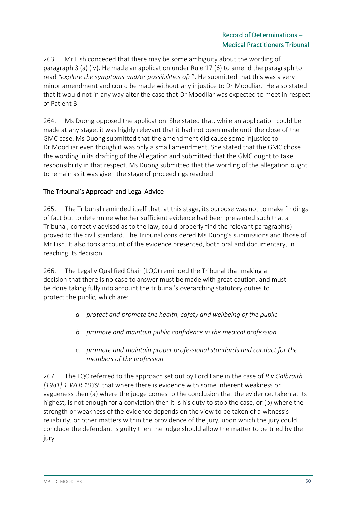263. Mr Fish conceded that there may be some ambiguity about the wording of paragraph 3 (a) (iv). He made an application under Rule 17 (6) to amend the paragraph to read *"explore the symptoms and/or possibilities of:* ". He submitted that this was a very minor amendment and could be made without any injustice to Dr Moodliar. He also stated that it would not in any way alter the case that Dr Moodliar was expected to meet in respect of Patient B.

264. Ms Duong opposed the application. She stated that, while an application could be made at any stage, it was highly relevant that it had not been made until the close of the GMC case. Ms Duong submitted that the amendment did cause some injustice to Dr Moodliar even though it was only a small amendment. She stated that the GMC chose the wording in its drafting of the Allegation and submitted that the GMC ought to take responsibility in that respect. Ms Duong submitted that the wording of the allegation ought to remain as it was given the stage of proceedings reached.

## The Tribunal's Approach and Legal Advice

265. The Tribunal reminded itself that, at this stage, its purpose was not to make findings of fact but to determine whether sufficient evidence had been presented such that a Tribunal, correctly advised as to the law, could properly find the relevant paragraph(s) proved to the civil standard. The Tribunal considered Ms Duong's submissions and those of Mr Fish. It also took account of the evidence presented, both oral and documentary, in reaching its decision.

266. The Legally Qualified Chair (LQC) reminded the Tribunal that making a decision that there is no case to answer must be made with great caution, and must be done taking fully into account the tribunal's overarching statutory duties to protect the public, which are:

- *a. protect and promote the health, safety and wellbeing of the public*
- *b. promote and maintain public confidence in the medical profession*
- *c. promote and maintain proper professional standards and conduct for the members of the profession.*

267. The LQC referred to the approach set out by Lord Lane in the case of *R v Galbraith [1981] 1 WLR 1039* that where there is evidence with some inherent weakness or vagueness then (a) where the judge comes to the conclusion that the evidence, taken at its highest, is not enough for a conviction then it is his duty to stop the case, or (b) where the strength or weakness of the evidence depends on the view to be taken of a witness's reliability, or other matters within the providence of the jury, upon which the jury could conclude the defendant is guilty then the judge should allow the matter to be tried by the jury.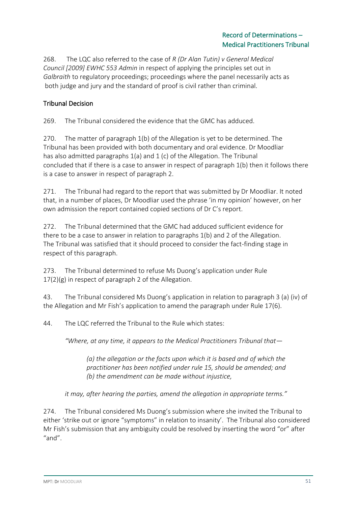268. The LQC also referred to the case of *R (Dr Alan Tutin) v General Medical Council [2009] EWHC 553 Admin* in respect of applying the principles set out in *Galbraith* to regulatory proceedings; proceedings where the panel necessarily acts as both judge and jury and the standard of proof is civil rather than criminal.

## Tribunal Decision

269. The Tribunal considered the evidence that the GMC has adduced.

270. The matter of paragraph 1(b) of the Allegation is yet to be determined. The Tribunal has been provided with both documentary and oral evidence. Dr Moodliar has also admitted paragraphs 1(a) and 1 (c) of the Allegation. The Tribunal concluded that if there is a case to answer in respect of paragraph 1(b) then it follows there is a case to answer in respect of paragraph 2.

271. The Tribunal had regard to the report that was submitted by Dr Moodliar. It noted that, in a number of places, Dr Moodliar used the phrase 'in my opinion' however, on her own admission the report contained copied sections of Dr C's report.

272. The Tribunal determined that the GMC had adduced sufficient evidence for there to be a case to answer in relation to paragraphs 1(b) and 2 of the Allegation. The Tribunal was satisfied that it should proceed to consider the fact-finding stage in respect of this paragraph.

273. The Tribunal determined to refuse Ms Duong's application under Rule 17(2)(g) in respect of paragraph 2 of the Allegation.

43. The Tribunal considered Ms Duong's application in relation to paragraph 3 (a) (iv) of the Allegation and Mr Fish's application to amend the paragraph under Rule 17(6).

44. The LQC referred the Tribunal to the Rule which states:

*"Where, at any time, it appears to the Medical Practitioners Tribunal that—*

*(a) the allegation or the facts upon which it is based and of which the practitioner has been notified under rule 15, should be amended; and (b) the amendment can be made without injustice,*

*it may, after hearing the parties, amend the allegation in appropriate terms."*

274. The Tribunal considered Ms Duong's submission where she invited the Tribunal to either 'strike out or ignore "symptoms" in relation to insanity'. The Tribunal also considered Mr Fish's submission that any ambiguity could be resolved by inserting the word "or" after "and".